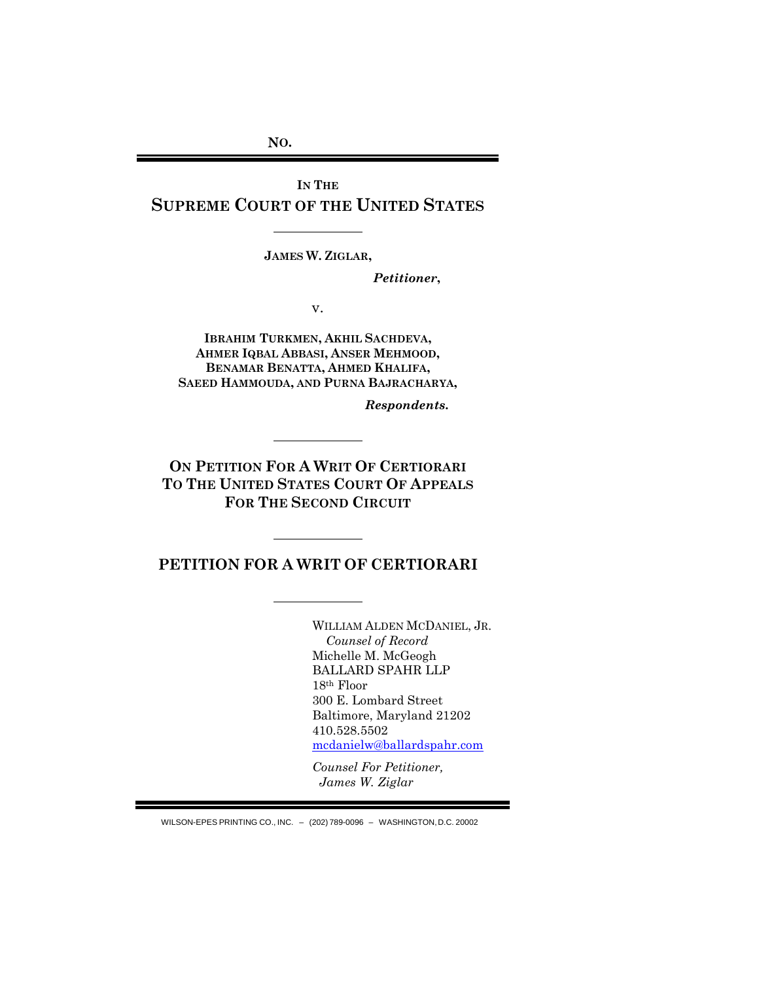**NO.**

**IN THE SUPREME COURT OF THE UNITED STATES**

**JAMES W. ZIGLAR,**

*Petitioner***,**

v.

**IBRAHIM TURKMEN, AKHIL SACHDEVA, AHMER IQBAL ABBASI, ANSER MEHMOOD, BENAMAR BENATTA, AHMED KHALIFA, SAEED HAMMOUDA, AND PURNA BAJRACHARYA,**

*Respondents***.**

**ON PETITION FOR A WRIT OF CERTIORARI TO THE UNITED STATES COURT OF APPEALS FOR THE SECOND CIRCUIT**

**PETITION FOR A WRIT OF CERTIORARI**

WILLIAM ALDEN MCDANIEL, JR. *Counsel of Record* Michelle M. McGeogh BALLARD SPAHR LLP 18th Floor 300 E. Lombard Street Baltimore, Maryland 21202 410.528.5502 [mcdanielw@ballardspahr.com](mailto:mcdanielw@ballardspahr.com)

*Counsel For Petitioner, James W. Ziglar*

WILSON-EPES PRINTING CO., INC. – (202) 789-0096 – WASHINGTON,D.C. 20002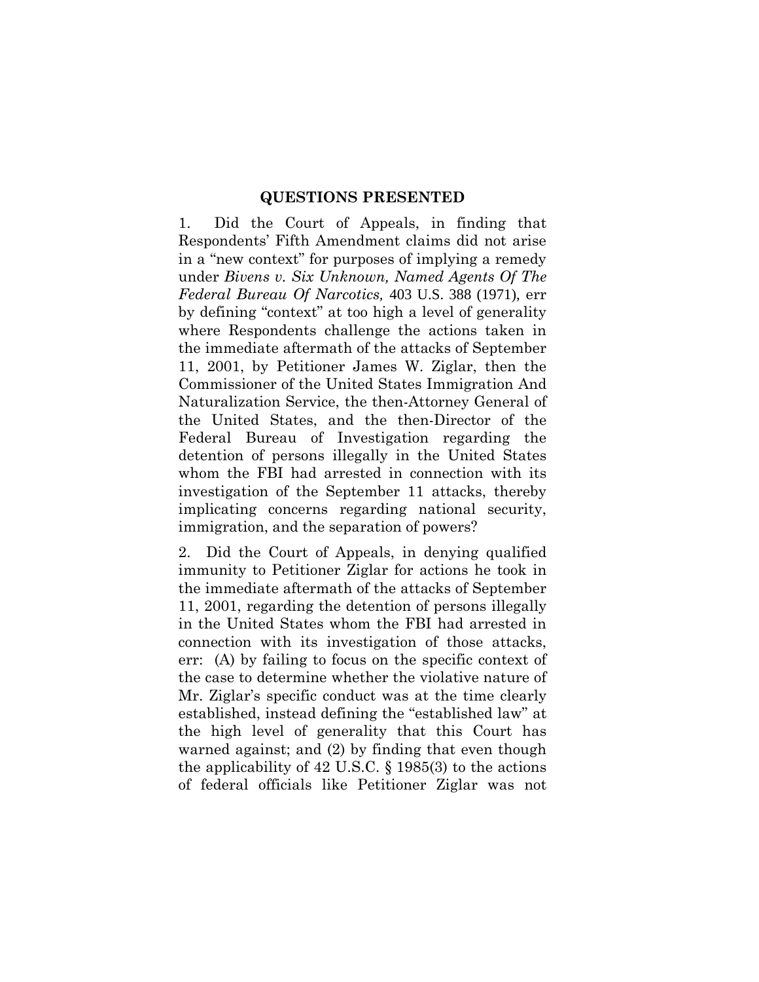## **QUESTIONS PRESENTED**

1. Did the Court of Appeals, in finding that Respondents' Fifth Amendment claims did not arise in a "new context" for purposes of implying a remedy under *Bivens v. Six Unknown, Named Agents Of The Federal Bureau Of Narcotics,* 403 U.S. 388 (1971), err by defining "context" at too high a level of generality where Respondents challenge the actions taken in the immediate aftermath of the attacks of September 11, 2001, by Petitioner James W. Ziglar, then the Commissioner of the United States Immigration And Naturalization Service, the then-Attorney General of the United States, and the then-Director of the Federal Bureau of Investigation regarding the detention of persons illegally in the United States whom the FBI had arrested in connection with its investigation of the September 11 attacks, thereby implicating concerns regarding national security, immigration, and the separation of powers?

2. Did the Court of Appeals, in denying qualified immunity to Petitioner Ziglar for actions he took in the immediate aftermath of the attacks of September 11, 2001, regarding the detention of persons illegally in the United States whom the FBI had arrested in connection with its investigation of those attacks, err: (A) by failing to focus on the specific context of the case to determine whether the violative nature of Mr. Ziglar's specific conduct was at the time clearly established, instead defining the "established law" at the high level of generality that this Court has warned against; and (2) by finding that even though the applicability of 42 U.S.C. § 1985(3) to the actions of federal officials like Petitioner Ziglar was not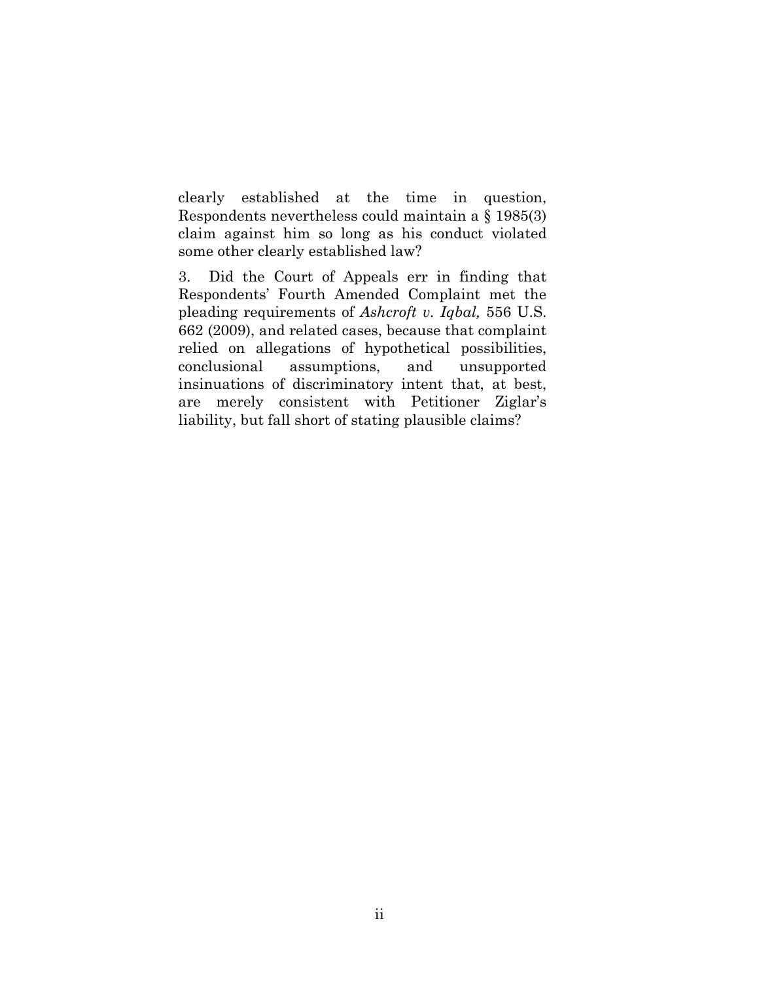clearly established at the time in question, Respondents nevertheless could maintain a § 1985(3) claim against him so long as his conduct violated some other clearly established law?

3. Did the Court of Appeals err in finding that Respondents' Fourth Amended Complaint met the pleading requirements of *Ashcroft v. Iqbal,* 556 U.S. 662 (2009), and related cases, because that complaint relied on allegations of hypothetical possibilities, conclusional assumptions, and unsupported insinuations of discriminatory intent that, at best, are merely consistent with Petitioner Ziglar's liability, but fall short of stating plausible claims?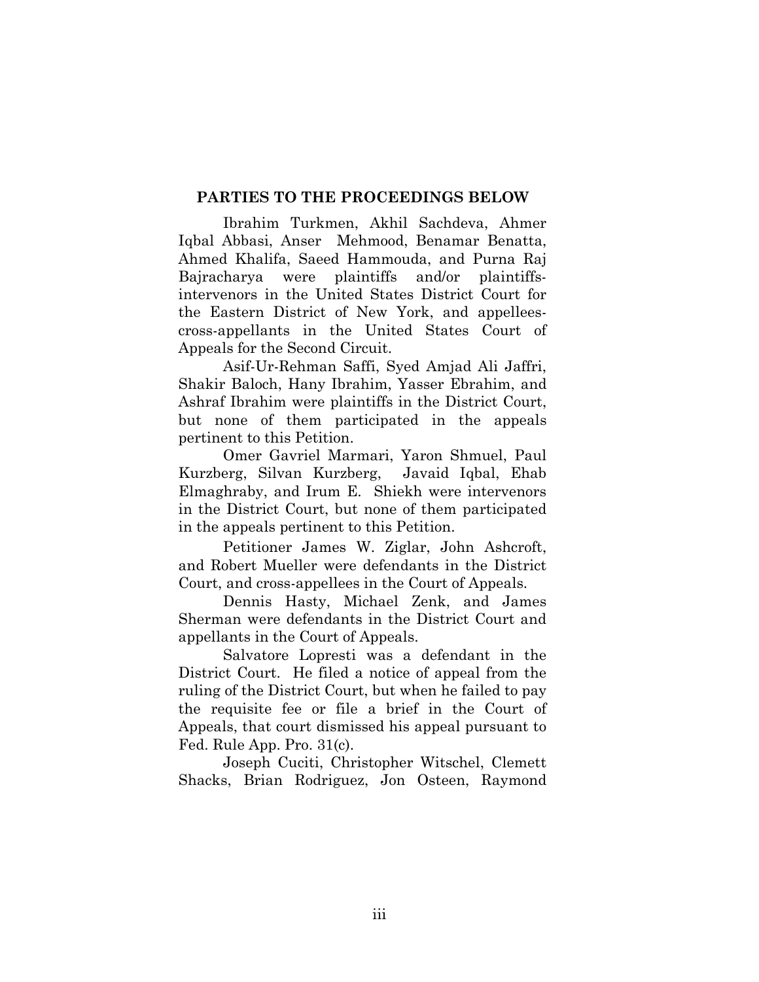# **PARTIES TO THE PROCEEDINGS BELOW**

Ibrahim Turkmen, Akhil Sachdeva, Ahmer Iqbal Abbasi, Anser Mehmood, Benamar Benatta, Ahmed Khalifa, Saeed Hammouda, and Purna Raj Bajracharya were plaintiffs and/or plaintiffsintervenors in the United States District Court for the Eastern District of New York, and appelleescross-appellants in the United States Court of Appeals for the Second Circuit.

Asif-Ur-Rehman Saffi, Syed Amjad Ali Jaffri, Shakir Baloch, Hany Ibrahim, Yasser Ebrahim, and Ashraf Ibrahim were plaintiffs in the District Court, but none of them participated in the appeals pertinent to this Petition.

Omer Gavriel Marmari, Yaron Shmuel, Paul Kurzberg, Silvan Kurzberg, Javaid Iqbal, Ehab Elmaghraby, and Irum E. Shiekh were intervenors in the District Court, but none of them participated in the appeals pertinent to this Petition.

Petitioner James W. Ziglar, John Ashcroft, and Robert Mueller were defendants in the District Court, and cross-appellees in the Court of Appeals.

Dennis Hasty, Michael Zenk, and James Sherman were defendants in the District Court and appellants in the Court of Appeals.

Salvatore Lopresti was a defendant in the District Court. He filed a notice of appeal from the ruling of the District Court, but when he failed to pay the requisite fee or file a brief in the Court of Appeals, that court dismissed his appeal pursuant to Fed. Rule App. Pro. 31(c).

Joseph Cuciti, Christopher Witschel, Clemett Shacks, Brian Rodriguez, Jon Osteen, Raymond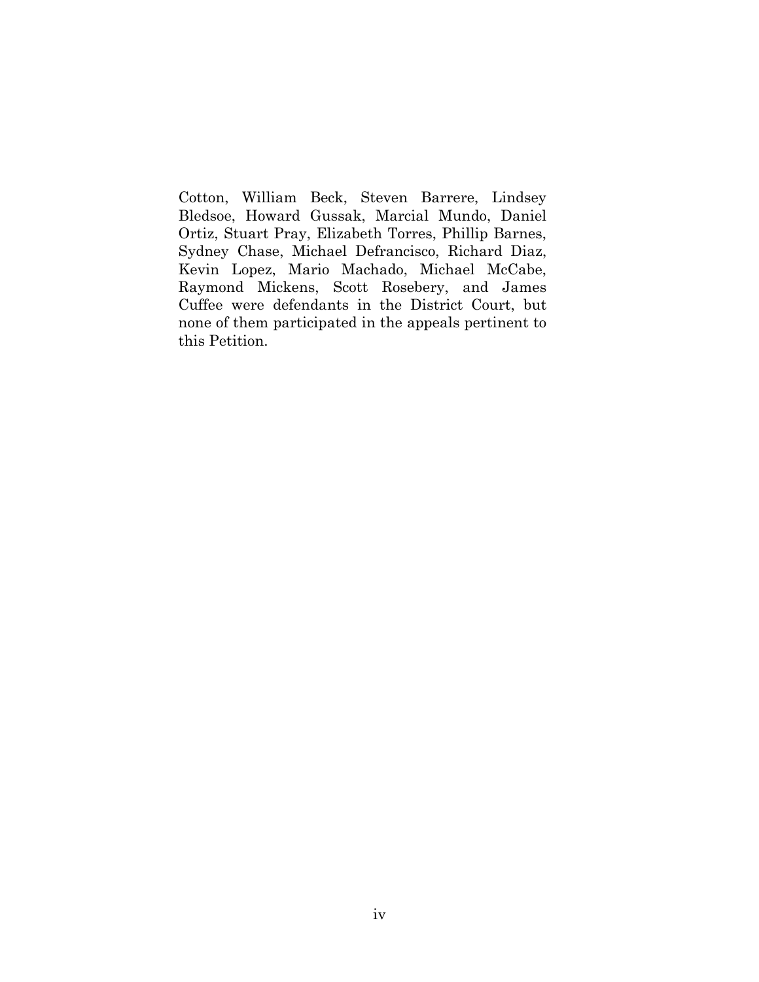Cotton, William Beck, Steven Barrere, Lindsey Bledsoe, Howard Gussak, Marcial Mundo, Daniel Ortiz, Stuart Pray, Elizabeth Torres, Phillip Barnes, Sydney Chase, Michael Defrancisco, Richard Diaz, Kevin Lopez, Mario Machado, Michael McCabe, Raymond Mickens, Scott Rosebery, and James Cuffee were defendants in the District Court, but none of them participated in the appeals pertinent to this Petition.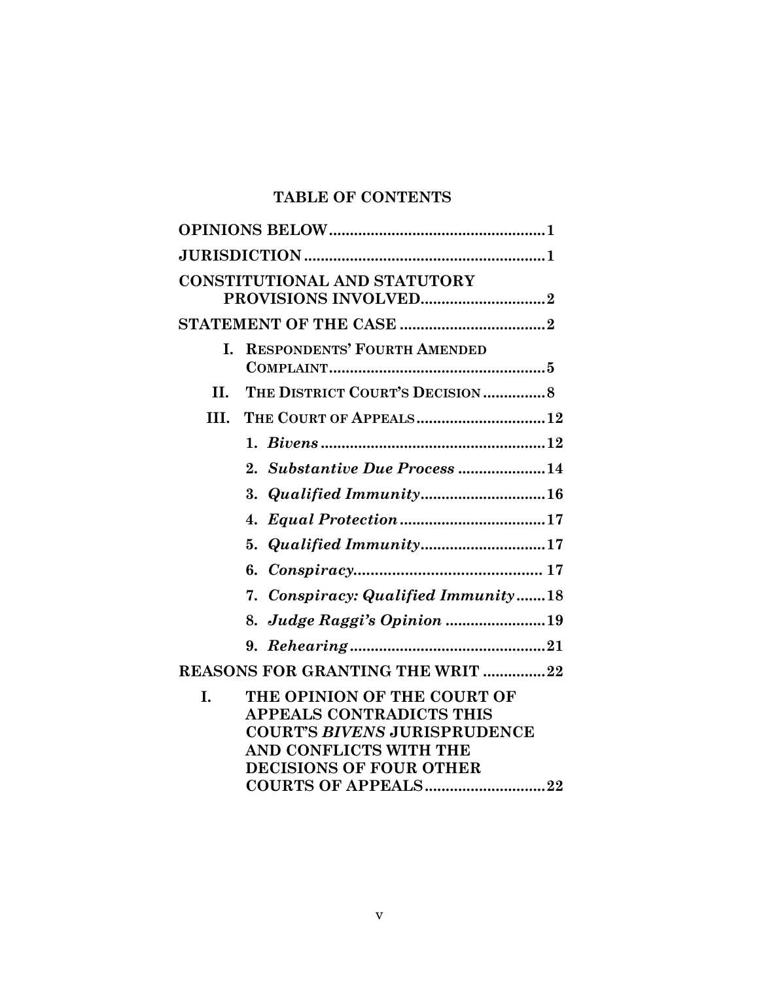# **TABLE OF CONTENTS**

|      | <b>CONSTITUTIONAL AND STATUTORY</b>                                                                                                                        |  |
|------|------------------------------------------------------------------------------------------------------------------------------------------------------------|--|
|      |                                                                                                                                                            |  |
| L.   | <b>RESPONDENTS' FOURTH AMENDED</b>                                                                                                                         |  |
| H.   | THE DISTRICT COURT'S DECISION 8                                                                                                                            |  |
| III. | THE COURT OF APPEALS12                                                                                                                                     |  |
|      |                                                                                                                                                            |  |
|      | 2. Substantive Due Process 14                                                                                                                              |  |
|      | 3. <i>Qualified Immunity</i> 16                                                                                                                            |  |
|      | 4.                                                                                                                                                         |  |
|      | 5. Qualified Immunity17                                                                                                                                    |  |
|      |                                                                                                                                                            |  |
|      | 7. Conspiracy: Qualified Immunity18                                                                                                                        |  |
|      | 8. Judge Raggi's Opinion 19                                                                                                                                |  |
|      |                                                                                                                                                            |  |
|      | <b>REASONS FOR GRANTING THE WRIT 22</b>                                                                                                                    |  |
| I.   | THE OPINION OF THE COURT OF<br><b>APPEALS CONTRADICTS THIS</b><br><b>COURT'S BIVENS JURISPRUDENCE</b><br>AND CONFLICTS WITH THE<br>DECISIONS OF FOUR OTHER |  |
|      | COURTS OF APPEALS22                                                                                                                                        |  |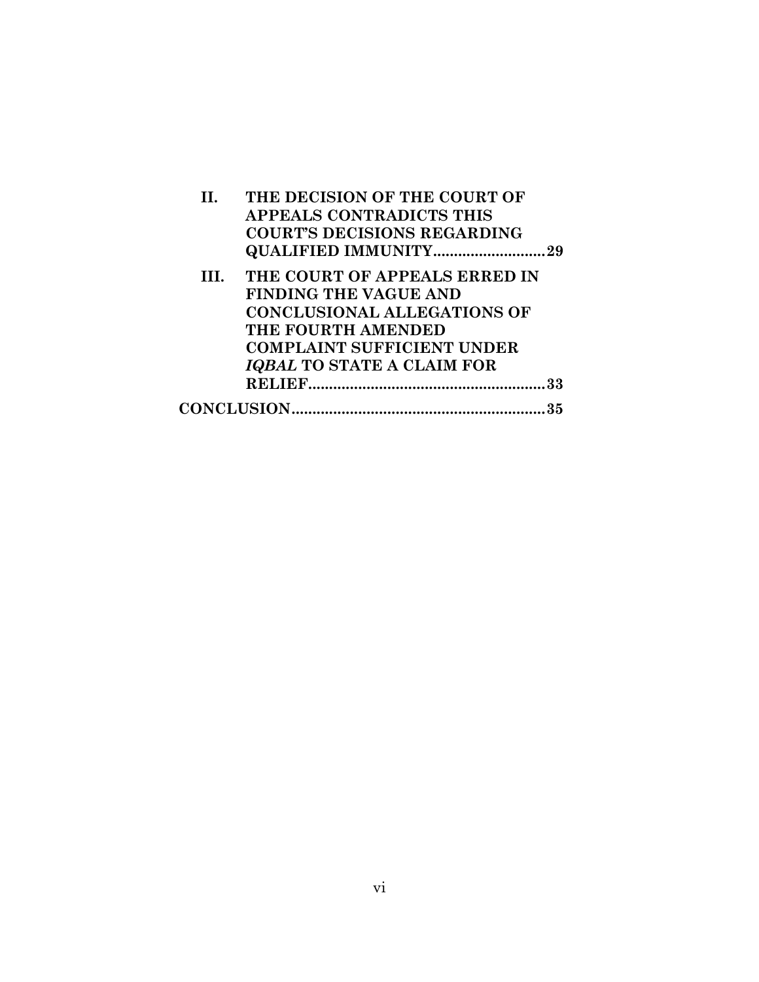|     | THE DECISION OF THE COURT OF<br><b>APPEALS CONTRADICTS THIS</b><br><b>COURT'S DECISIONS REGARDING</b><br><b>QUALIFIED IMMUNITY</b> | . 29 |
|-----|------------------------------------------------------------------------------------------------------------------------------------|------|
| HI. | THE COURT OF APPEALS ERRED IN<br><b>FINDING THE VAGUE AND</b><br><b>CONCLUSIONAL ALLEGATIONS OF</b>                                |      |
|     | THE FOURTH AMENDED<br><b>COMPLAINT SUFFICIENT UNDER</b>                                                                            |      |
|     | <b>IQBAL TO STATE A CLAIM FOR</b>                                                                                                  |      |
|     |                                                                                                                                    |      |
|     |                                                                                                                                    |      |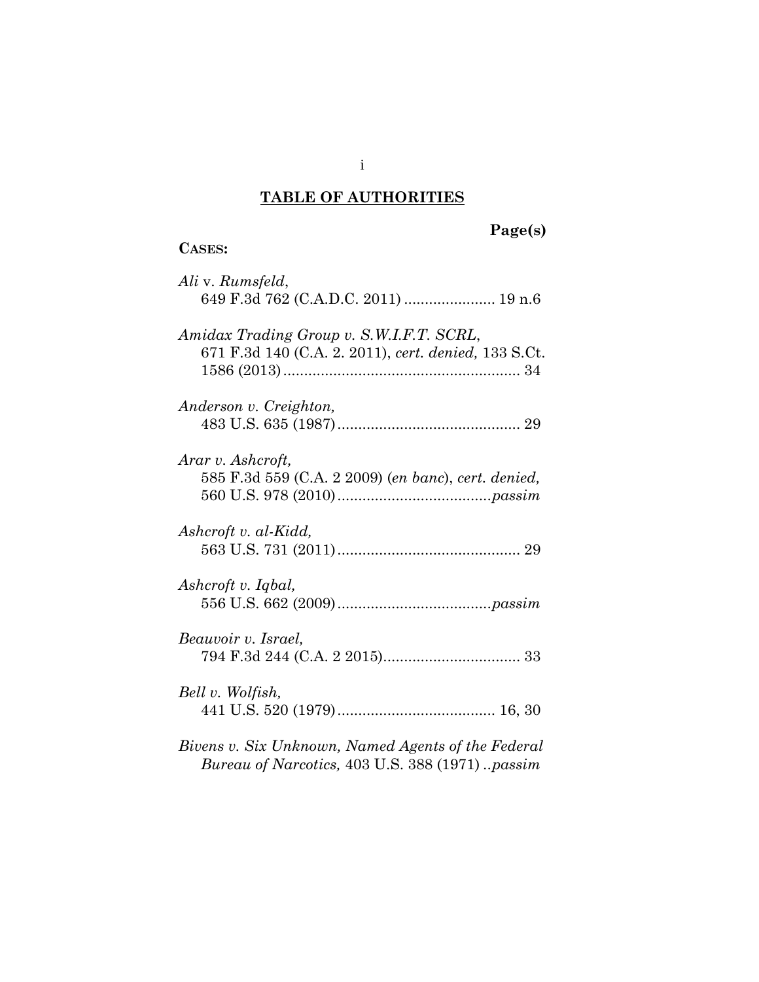# **TABLE OF AUTHORITIES**

i

| ASES: |
|-------|
|       |

# **Page(s)**

| Ali v. Rumsfeld,<br>649 F.3d 762 (C.A.D.C. 2011)  19 n.6                                             |
|------------------------------------------------------------------------------------------------------|
| Amidax Trading Group v. S.W.I.F.T. SCRL,<br>671 F.3d 140 (C.A. 2. 2011), cert. denied, 133 S.Ct.     |
| Anderson v. Creighton,                                                                               |
| Arar v. Ashcroft,<br>585 F.3d 559 (C.A. 2 2009) (en banc), cert. denied,                             |
| Ashcroft v. al-Kidd,                                                                                 |
| Ashcroft v. Iqbal,                                                                                   |
| Beauvoir v. Israel,                                                                                  |
| Bell v. Wolfish,                                                                                     |
| Bivens v. Six Unknown, Named Agents of the Federal<br>Bureau of Narcotics, 403 U.S. 388 (1971)passim |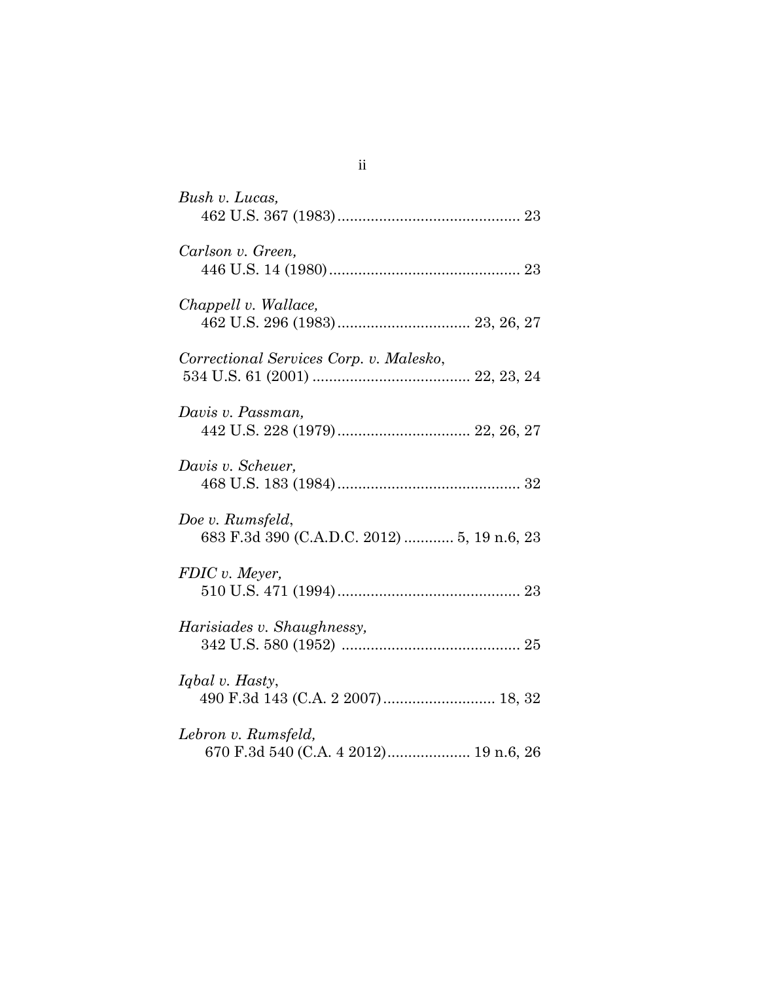| Bush v. Lucas,                                                  |
|-----------------------------------------------------------------|
| Carlson v. Green,                                               |
| Chappell v. Wallace,                                            |
| Correctional Services Corp. v. Malesko,                         |
| Davis v. Passman,                                               |
| Davis v. Scheuer,                                               |
| Doe v. Rumsfeld,<br>683 F.3d 390 (C.A.D.C. 2012)  5, 19 n.6, 23 |
| FDIC v. Meyer,                                                  |
| Harisiades v. Shaughnessy,                                      |
| Iqbal v. Hasty,                                                 |
| Lebron v. Rumsfeld,<br>670 F.3d 540 (C.A. 4 2012) 19 n.6, 26    |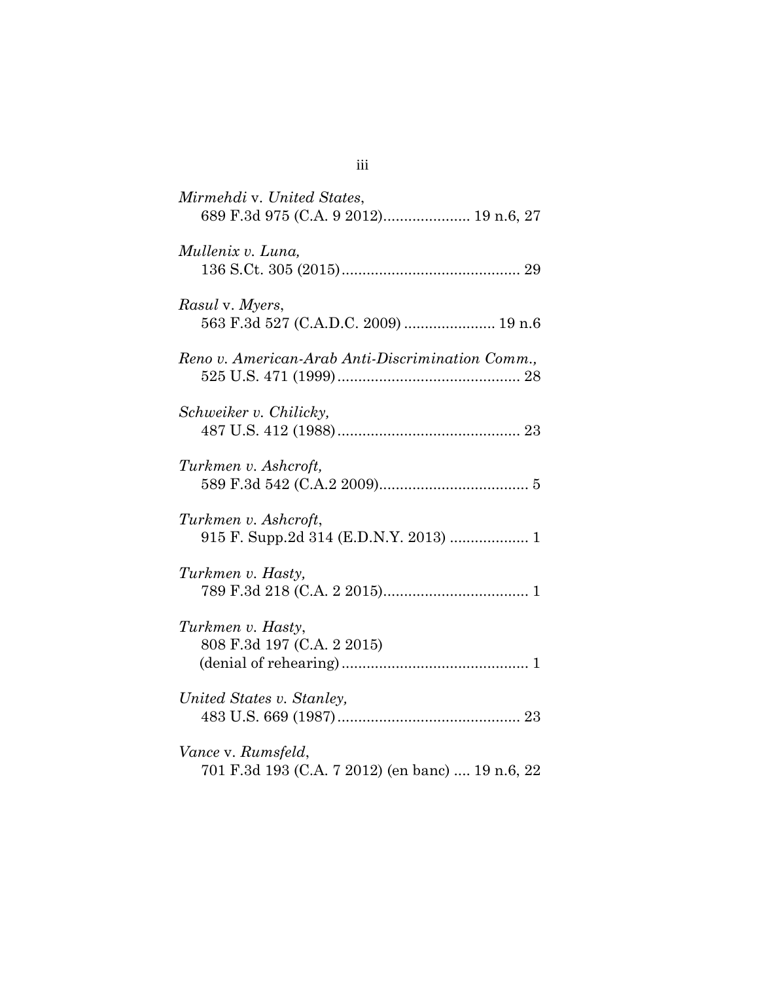| Mirmehdi v. United States,<br>689 F.3d 975 (C.A. 9 2012) 19 n.6, 27    |
|------------------------------------------------------------------------|
| Mullenix v. Luna,                                                      |
| Rasul v. Myers,<br>563 F.3d 527 (C.A.D.C. 2009)  19 n.6                |
| Reno v. American-Arab Anti-Discrimination Comm.,                       |
| Schweiker v. Chilicky,                                                 |
| Turkmen v. Ashcroft,                                                   |
| Turkmen v. Ashcroft,<br>915 F. Supp.2d 314 (E.D.N.Y. 2013)  1          |
| Turkmen v. Hasty,                                                      |
| Turkmen v. Hasty,<br>808 F.3d 197 (C.A. 2 2015)                        |
| United States v. Stanley,                                              |
| Vance v. Rumsfeld,<br>701 F.3d 193 (C.A. 7 2012) (en banc)  19 n.6, 22 |

| ×<br>۰. | ×<br>۰. | I |
|---------|---------|---|
|         |         |   |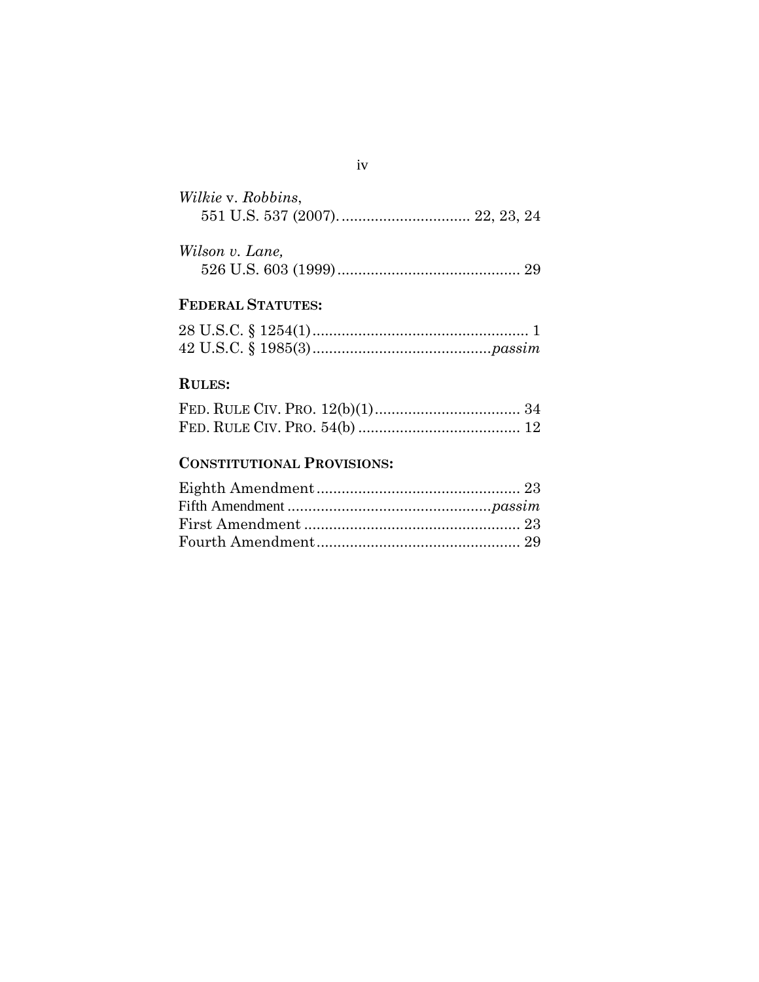| Wilkie v. Robbins, |  |  |
|--------------------|--|--|
|                    |  |  |

| Wilson v. Lane, |  |
|-----------------|--|
|                 |  |

# **FEDERAL STATUTES:**

# **RULES:**

# **CONSTITUTIONAL PROVISIONS:**

# iv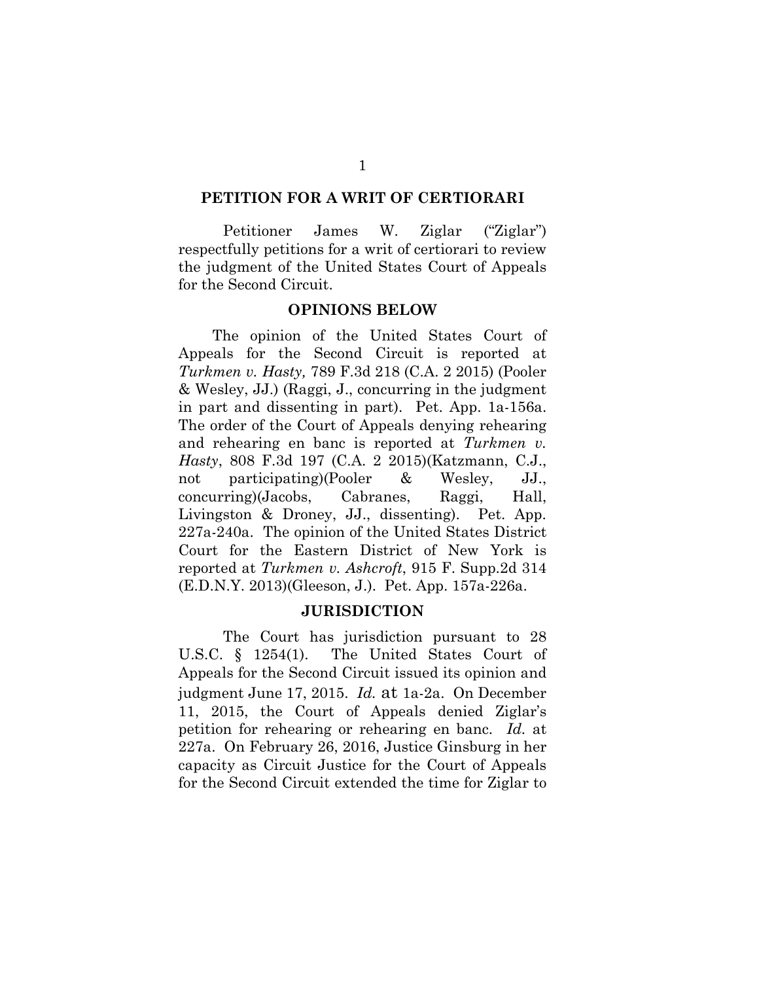### **PETITION FOR A WRIT OF CERTIORARI**

Petitioner James W. Ziglar ("Ziglar") respectfully petitions for a writ of certiorari to review the judgment of the United States Court of Appeals for the Second Circuit.

## **OPINIONS BELOW**

The opinion of the United States Court of Appeals for the Second Circuit is reported at *Turkmen v. Hasty,* 789 F.3d 218 (C.A. 2 2015) (Pooler & Wesley, JJ.) (Raggi, J., concurring in the judgment in part and dissenting in part). Pet. App. 1a-156a. The order of the Court of Appeals denying rehearing and rehearing en banc is reported at *Turkmen v. Hasty*, 808 F.3d 197 (C.A. 2 2015)(Katzmann, C.J., not participating)(Pooler & Wesley, JJ., concurring)(Jacobs, Cabranes, Raggi, Hall, Livingston & Droney, JJ., dissenting). Pet. App. 227a-240a. The opinion of the United States District Court for the Eastern District of New York is reported at *Turkmen v. Ashcroft*, 915 F. Supp.2d 314 (E.D.N.Y. 2013)(Gleeson, J.). Pet. App. 157a-226a.

#### **JURISDICTION**

The Court has jurisdiction pursuant to 28 U.S.C. § 1254(1). The United States Court of Appeals for the Second Circuit issued its opinion and judgment June 17, 2015. *Id.* at 1a-2a. On December 11, 2015, the Court of Appeals denied Ziglar's petition for rehearing or rehearing en banc. *Id.* at 227a. On February 26, 2016, Justice Ginsburg in her capacity as Circuit Justice for the Court of Appeals for the Second Circuit extended the time for Ziglar to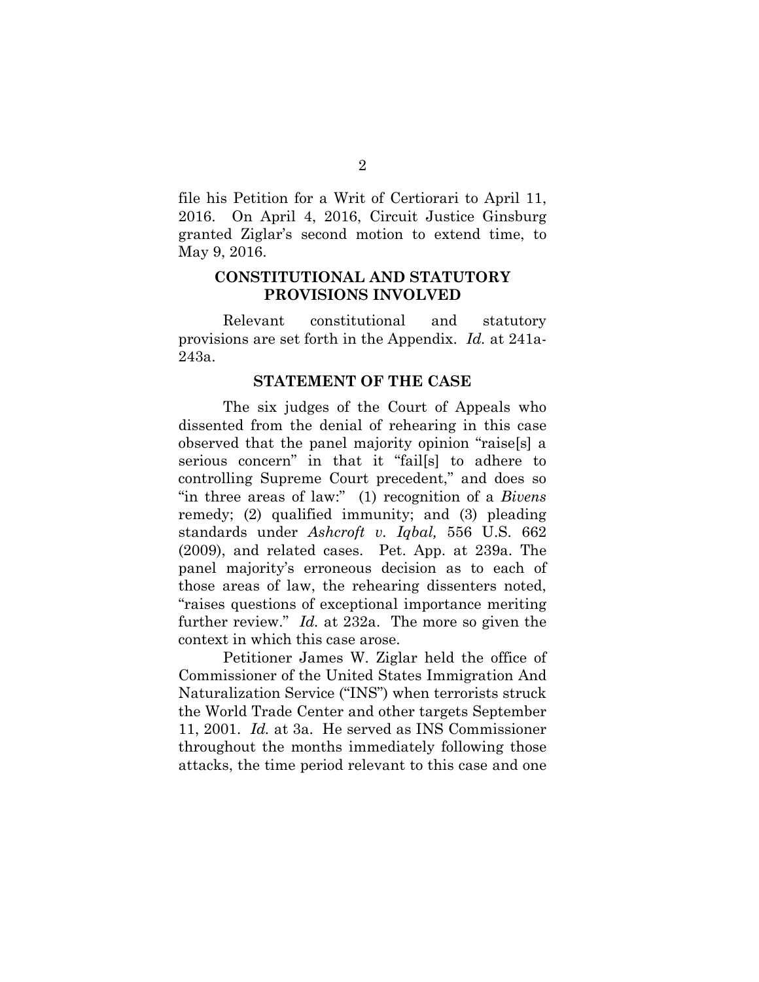file his Petition for a Writ of Certiorari to April 11, 2016. On April 4, 2016, Circuit Justice Ginsburg granted Ziglar's second motion to extend time, to May 9, 2016.

## **CONSTITUTIONAL AND STATUTORY PROVISIONS INVOLVED**

Relevant constitutional and statutory provisions are set forth in the Appendix. *Id.* at 241a-243a.

### **STATEMENT OF THE CASE**

The six judges of the Court of Appeals who dissented from the denial of rehearing in this case observed that the panel majority opinion "raise[s] a serious concern" in that it "fail[s] to adhere to controlling Supreme Court precedent," and does so "in three areas of law:" (1) recognition of a *Bivens*  remedy; (2) qualified immunity; and (3) pleading standards under *Ashcroft v. Iqbal,* 556 U.S. 662 (2009), and related cases. Pet. App. at 239a. The panel majority's erroneous decision as to each of those areas of law, the rehearing dissenters noted, "raises questions of exceptional importance meriting further review." *Id.* at 232a. The more so given the context in which this case arose.

Petitioner James W. Ziglar held the office of Commissioner of the United States Immigration And Naturalization Service ("INS") when terrorists struck the World Trade Center and other targets September 11, 2001. *Id.* at 3a. He served as INS Commissioner throughout the months immediately following those attacks, the time period relevant to this case and one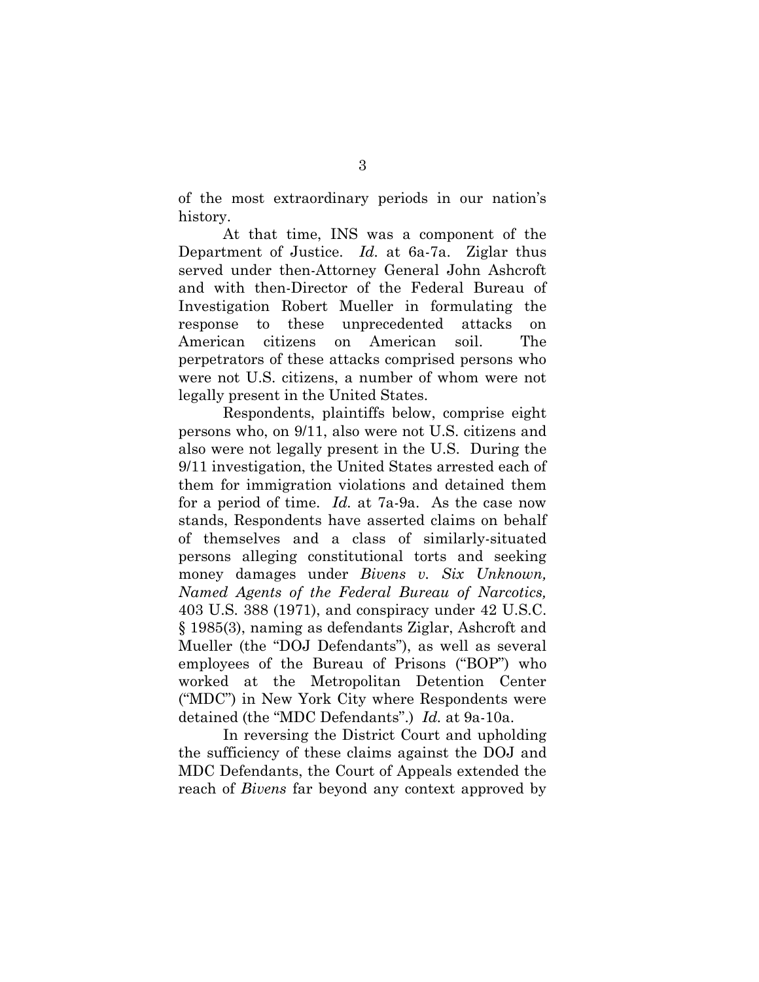of the most extraordinary periods in our nation's history.

At that time, INS was a component of the Department of Justice. *Id.* at 6a-7a. Ziglar thus served under then-Attorney General John Ashcroft and with then-Director of the Federal Bureau of Investigation Robert Mueller in formulating the response to these unprecedented attacks on American citizens on American soil. The perpetrators of these attacks comprised persons who were not U.S. citizens, a number of whom were not legally present in the United States.

Respondents, plaintiffs below, comprise eight persons who, on 9/11, also were not U.S. citizens and also were not legally present in the U.S. During the 9/11 investigation, the United States arrested each of them for immigration violations and detained them for a period of time. *Id.* at 7a-9a. As the case now stands, Respondents have asserted claims on behalf of themselves and a class of similarly-situated persons alleging constitutional torts and seeking money damages under *Bivens v. Six Unknown, Named Agents of the Federal Bureau of Narcotics,* 403 U.S. 388 (1971), and conspiracy under 42 U.S.C. § 1985(3), naming as defendants Ziglar, Ashcroft and Mueller (the "DOJ Defendants"), as well as several employees of the Bureau of Prisons ("BOP") who worked at the Metropolitan Detention Center ("MDC") in New York City where Respondents were detained (the "MDC Defendants".) *Id.* at 9a-10a.

In reversing the District Court and upholding the sufficiency of these claims against the DOJ and MDC Defendants, the Court of Appeals extended the reach of *Bivens* far beyond any context approved by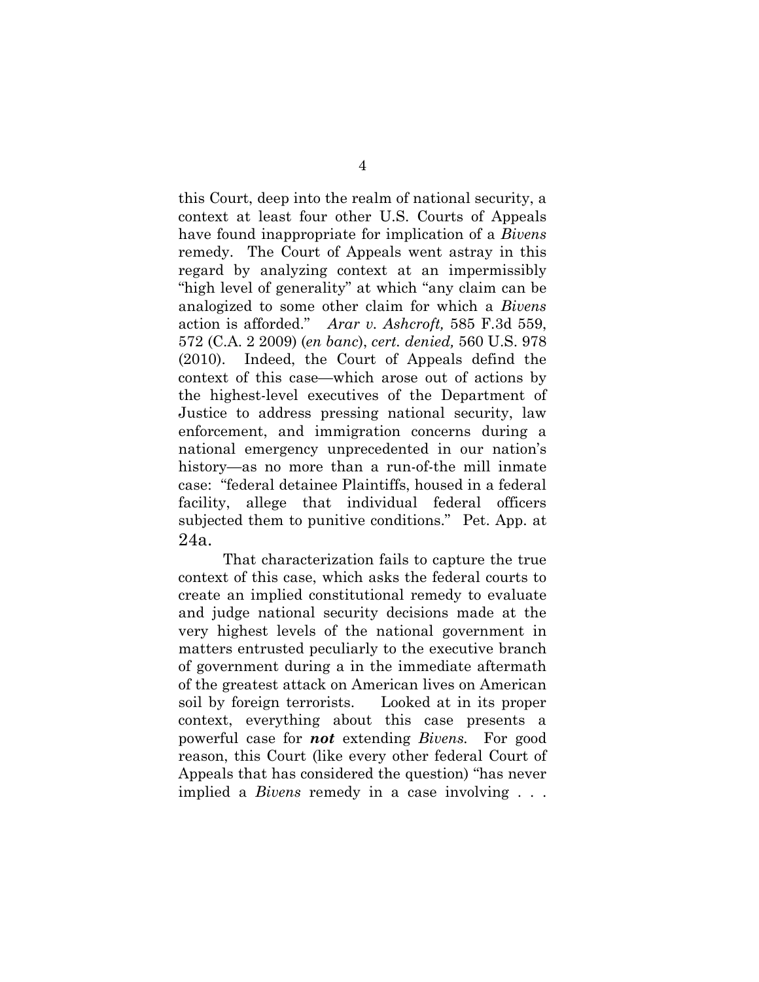this Court, deep into the realm of national security, a context at least four other U.S. Courts of Appeals have found inappropriate for implication of a *Bivens* remedy. The Court of Appeals went astray in this regard by analyzing context at an impermissibly "high level of generality" at which "any claim can be analogized to some other claim for which a *Bivens* action is afforded." *Arar v. Ashcroft,* 585 F.3d 559, 572 (C.A. 2 2009) (*en banc*), *cert. denied,* 560 U.S. 978 (2010). Indeed, the Court of Appeals defind the context of this case—which arose out of actions by the highest-level executives of the Department of Justice to address pressing national security, law enforcement, and immigration concerns during a national emergency unprecedented in our nation's history—as no more than a run-of-the mill inmate case: "federal detainee Plaintiffs, housed in a federal facility, allege that individual federal officers subjected them to punitive conditions." Pet. App. at 24a.

That characterization fails to capture the true context of this case, which asks the federal courts to create an implied constitutional remedy to evaluate and judge national security decisions made at the very highest levels of the national government in matters entrusted peculiarly to the executive branch of government during a in the immediate aftermath of the greatest attack on American lives on American soil by foreign terrorists. Looked at in its proper context, everything about this case presents a powerful case for *not* extending *Bivens.* For good reason, this Court (like every other federal Court of Appeals that has considered the question) "has never implied a *Bivens* remedy in a case involving . . .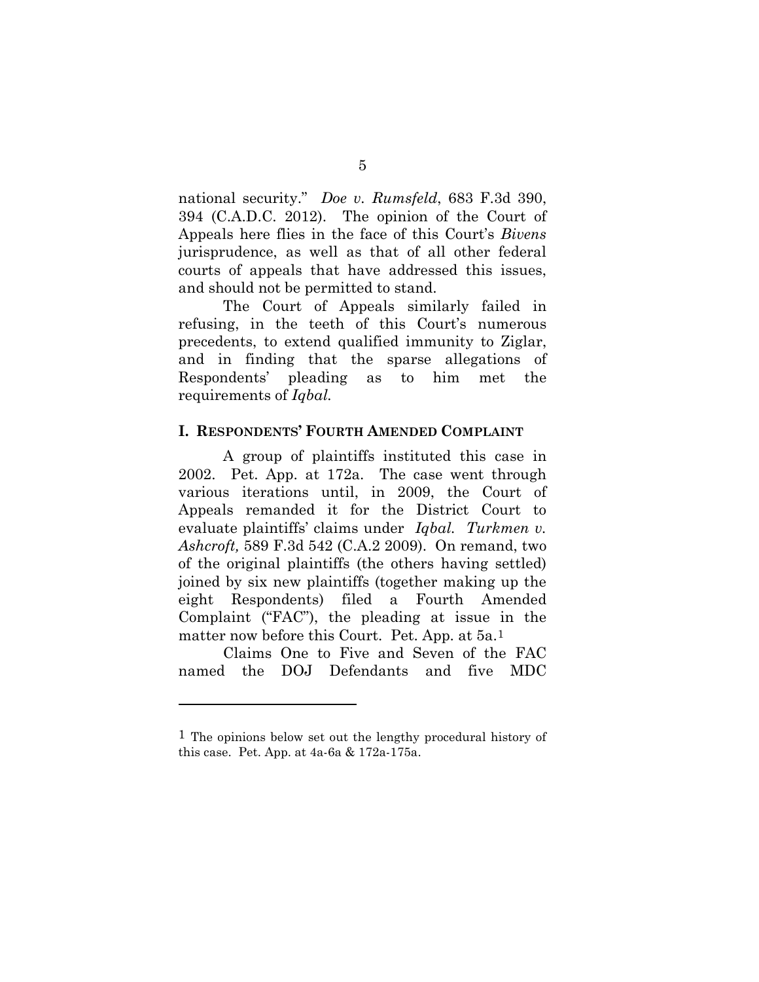national security." *Doe v. Rumsfeld*, 683 F.3d 390, 394 (C.A.D.C. 2012). The opinion of the Court of Appeals here flies in the face of this Court's *Bivens*  jurisprudence, as well as that of all other federal courts of appeals that have addressed this issues, and should not be permitted to stand.

The Court of Appeals similarly failed in refusing, in the teeth of this Court's numerous precedents, to extend qualified immunity to Ziglar, and in finding that the sparse allegations of Respondents' pleading as to him met the requirements of *Iqbal.*

### **I. RESPONDENTS' FOURTH AMENDED COMPLAINT**

A group of plaintiffs instituted this case in 2002. Pet. App. at 172a. The case went through various iterations until, in 2009, the Court of Appeals remanded it for the District Court to evaluate plaintiffs' claims under *Iqbal. Turkmen v. Ashcroft,* 589 F.3d 542 (C.A.2 2009). On remand, two of the original plaintiffs (the others having settled) joined by six new plaintiffs (together making up the eight Respondents) filed a Fourth Amended Complaint ("FAC"), the pleading at issue in the matter now before this Court. Pet. App. at 5a.[1](#page-15-0)

Claims One to Five and Seven of the FAC named the DOJ Defendants and five MDC

 $\overline{a}$ 

<span id="page-15-0"></span><sup>&</sup>lt;sup>1</sup> The opinions below set out the lengthy procedural history of this case. Pet. App. at  $4a-6a \& 172a-175a$ .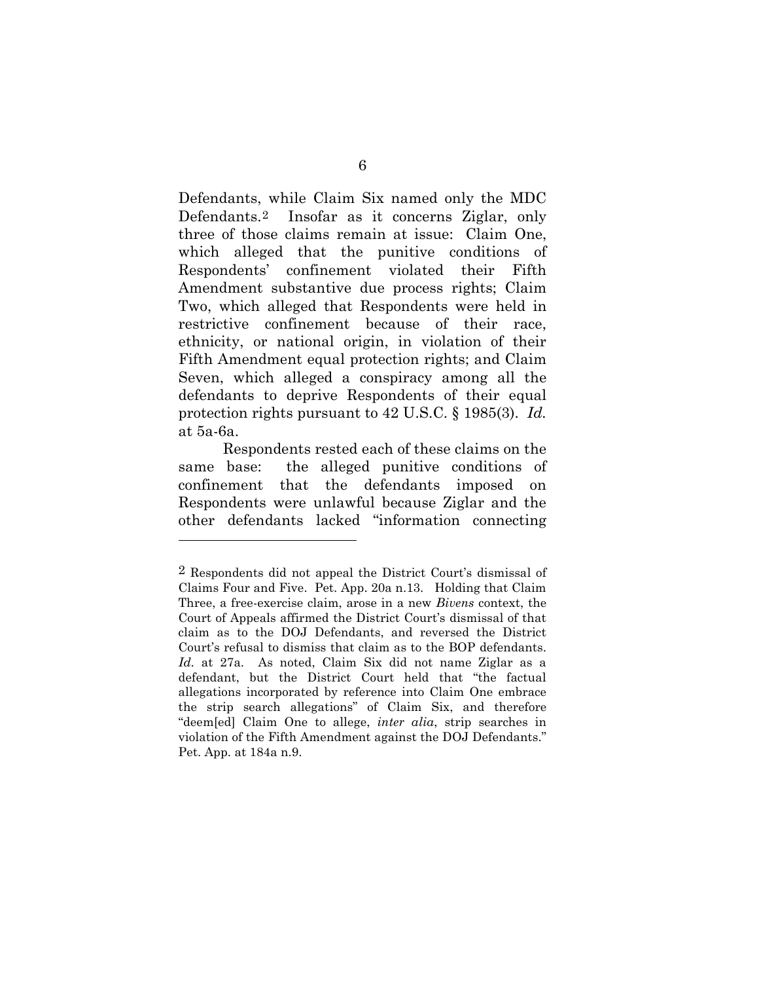Defendants, while Claim Six named only the MDC Defendants.[2](#page-16-0) Insofar as it concerns Ziglar, only three of those claims remain at issue: Claim One, which alleged that the punitive conditions of Respondents' confinement violated their Fifth Amendment substantive due process rights; Claim Two, which alleged that Respondents were held in restrictive confinement because of their race, ethnicity, or national origin, in violation of their Fifth Amendment equal protection rights; and Claim Seven, which alleged a conspiracy among all the defendants to deprive Respondents of their equal protection rights pursuant to 42 U.S.C. § 1985(3). *Id.*  at 5a-6a.

Respondents rested each of these claims on the same base: the alleged punitive conditions of confinement that the defendants imposed on Respondents were unlawful because Ziglar and the other defendants lacked "information connecting

 $\overline{a}$ 

<span id="page-16-0"></span><sup>2</sup> Respondents did not appeal the District Court's dismissal of Claims Four and Five. Pet. App. 20a n.13. Holding that Claim Three, a free-exercise claim, arose in a new *Bivens* context, the Court of Appeals affirmed the District Court's dismissal of that claim as to the DOJ Defendants, and reversed the District Court's refusal to dismiss that claim as to the BOP defendants. *Id.* at 27a. As noted, Claim Six did not name Ziglar as a defendant, but the District Court held that "the factual allegations incorporated by reference into Claim One embrace the strip search allegations" of Claim Six, and therefore "deem[ed] Claim One to allege, *inter alia*, strip searches in violation of the Fifth Amendment against the DOJ Defendants." Pet. App. at 184a n.9.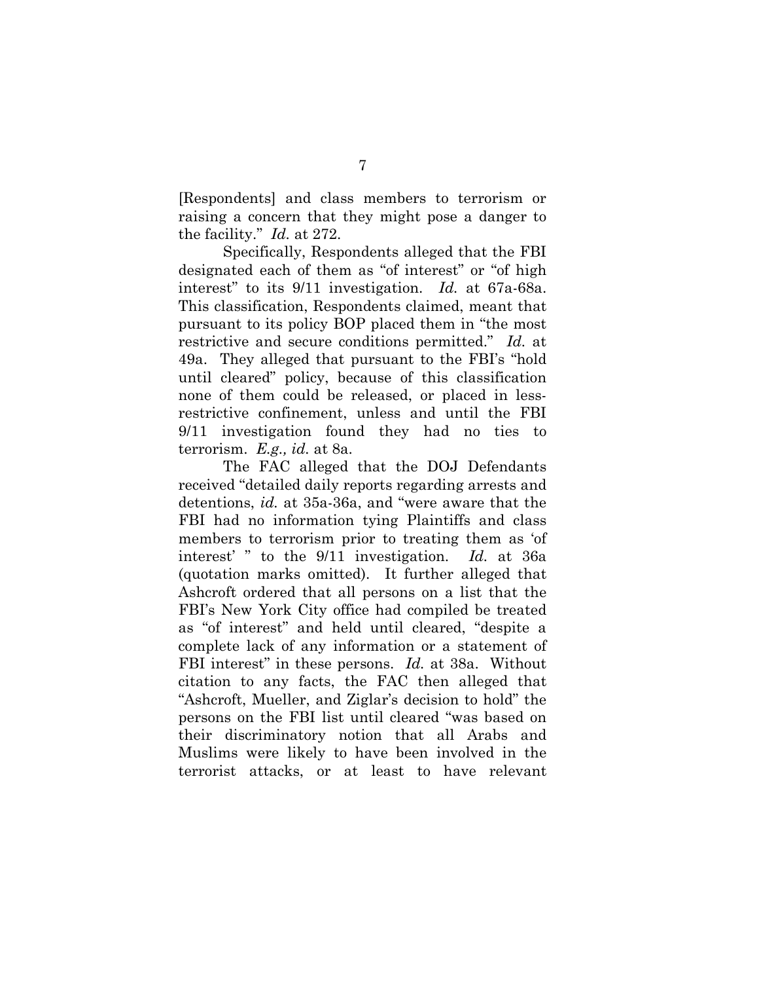[Respondents] and class members to terrorism or raising a concern that they might pose a danger to the facility." *Id.* at 272.

Specifically, Respondents alleged that the FBI designated each of them as "of interest" or "of high interest" to its 9/11 investigation. *Id.* at 67a-68a. This classification, Respondents claimed, meant that pursuant to its policy BOP placed them in "the most restrictive and secure conditions permitted." *Id.* at 49a. They alleged that pursuant to the FBI's "hold until cleared" policy, because of this classification none of them could be released, or placed in lessrestrictive confinement, unless and until the FBI 9/11 investigation found they had no ties to terrorism. *E.g., id.* at 8a.

The FAC alleged that the DOJ Defendants received "detailed daily reports regarding arrests and detentions, *id.* at 35a-36a, and "were aware that the FBI had no information tying Plaintiffs and class members to terrorism prior to treating them as 'of interest' " to the 9/11 investigation. *Id.* at 36a (quotation marks omitted). It further alleged that Ashcroft ordered that all persons on a list that the FBI's New York City office had compiled be treated as "of interest" and held until cleared, "despite a complete lack of any information or a statement of FBI interest" in these persons. *Id.* at 38a. Without citation to any facts, the FAC then alleged that "Ashcroft, Mueller, and Ziglar's decision to hold" the persons on the FBI list until cleared "was based on their discriminatory notion that all Arabs and Muslims were likely to have been involved in the terrorist attacks, or at least to have relevant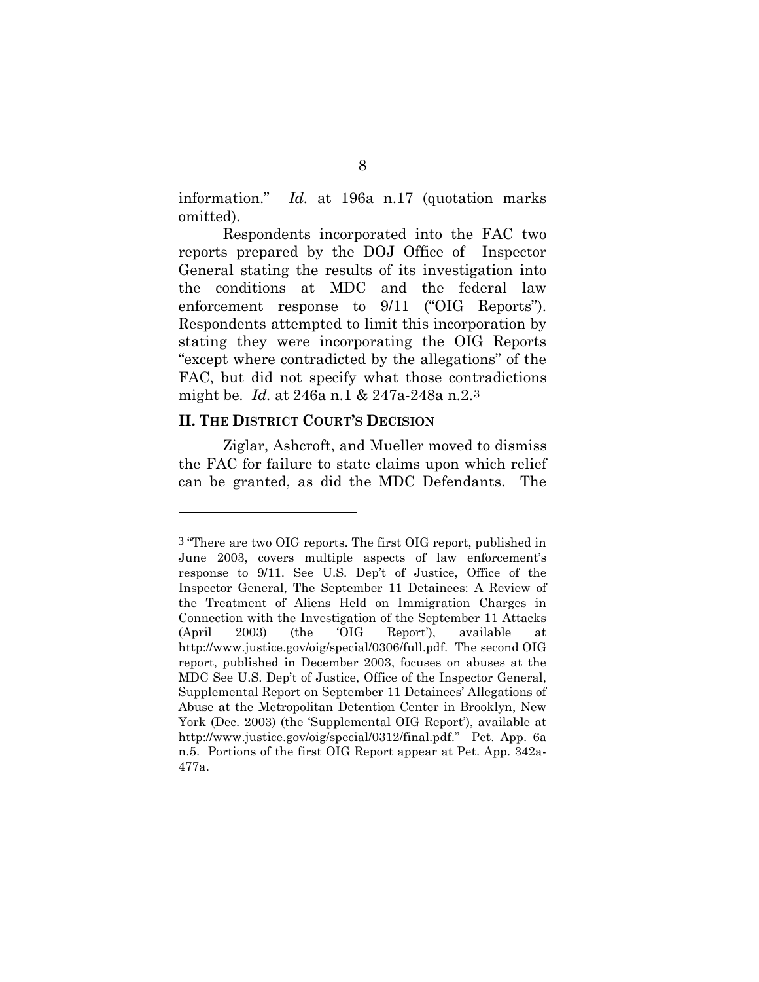information." *Id.* at 196a n.17 (quotation marks omitted).

Respondents incorporated into the FAC two reports prepared by the DOJ Office of Inspector General stating the results of its investigation into the conditions at MDC and the federal law enforcement response to 9/11 ("OIG Reports"). Respondents attempted to limit this incorporation by stating they were incorporating the OIG Reports "except where contradicted by the allegations" of the FAC, but did not specify what those contradictions might be. *Id.* at 246a n.1 & 247a-248a n.2.[3](#page-18-0)

### **II. THE DISTRICT COURT'S DECISION**

 $\overline{a}$ 

Ziglar, Ashcroft, and Mueller moved to dismiss the FAC for failure to state claims upon which relief can be granted, as did the MDC Defendants. The

<span id="page-18-0"></span><sup>3</sup> "There are two OIG reports. The first OIG report, published in June 2003, covers multiple aspects of law enforcement's response to 9/11. See U.S. Dep't of Justice, Office of the Inspector General, The September 11 Detainees: A Review of the Treatment of Aliens Held on Immigration Charges in Connection with the Investigation of the September 11 Attacks (April 2003) (the 'OIG Report'), available at http://www.justice.gov/oig/special/0306/full.pdf. The second OIG report, published in December 2003, focuses on abuses at the MDC See U.S. Dep't of Justice, Office of the Inspector General, Supplemental Report on September 11 Detainees' Allegations of Abuse at the Metropolitan Detention Center in Brooklyn, New York (Dec. 2003) (the 'Supplemental OIG Report'), available at [http://www.justice.gov/oig/special/0312/final.pdf.](http://www.justice.gov/oig/special/0312/final.pdf)" Pet. App. 6a n.5. Portions of the first OIG Report appear at Pet. App. 342a-477a.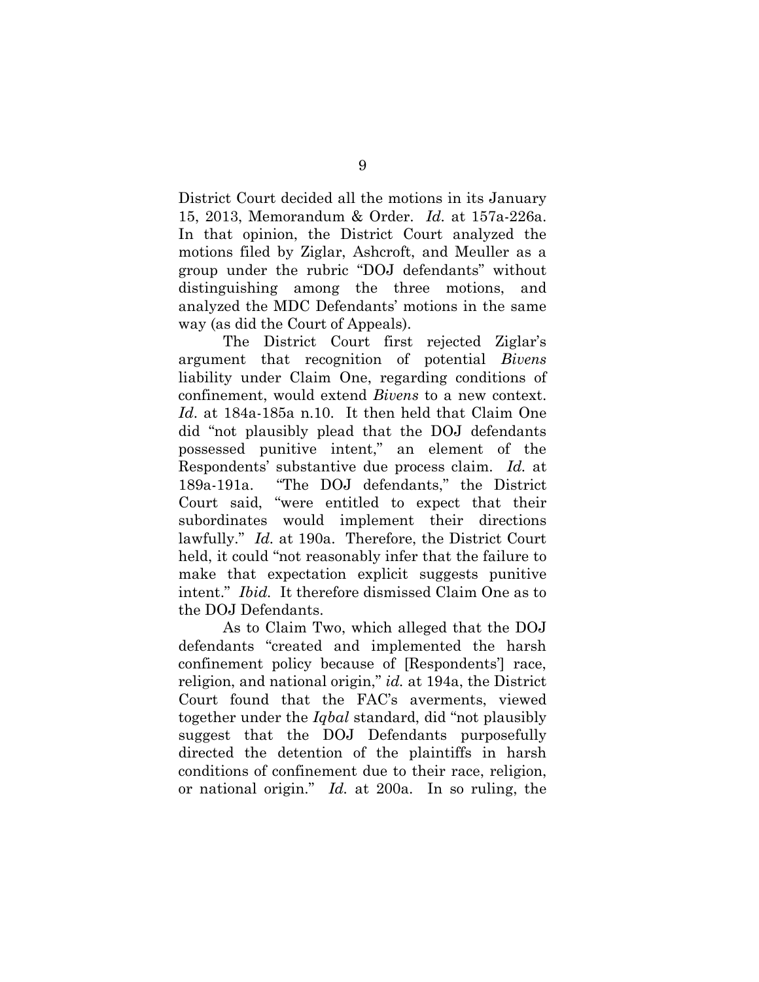District Court decided all the motions in its January 15, 2013, Memorandum & Order. *Id.* at 157a-226a. In that opinion, the District Court analyzed the motions filed by Ziglar, Ashcroft, and Meuller as a group under the rubric "DOJ defendants" without distinguishing among the three motions, and analyzed the MDC Defendants' motions in the same way (as did the Court of Appeals).

The District Court first rejected Ziglar's argument that recognition of potential *Bivens*  liability under Claim One, regarding conditions of confinement, would extend *Bivens* to a new context. *Id*. at 184a-185a n.10. It then held that Claim One did "not plausibly plead that the DOJ defendants possessed punitive intent," an element of the Respondents' substantive due process claim. *Id.* at 189a-191a. "The DOJ defendants," the District Court said, "were entitled to expect that their subordinates would implement their directions lawfully." *Id.* at 190a. Therefore, the District Court held, it could "not reasonably infer that the failure to make that expectation explicit suggests punitive intent." *Ibid.* It therefore dismissed Claim One as to the DOJ Defendants.

As to Claim Two, which alleged that the DOJ defendants "created and implemented the harsh confinement policy because of [Respondents'] race, religion, and national origin," *id.* at 194a, the District Court found that the FAC's averments, viewed together under the *Iqbal* standard, did "not plausibly suggest that the DOJ Defendants purposefully directed the detention of the plaintiffs in harsh conditions of confinement due to their race, religion, or national origin." *Id.* at 200a. In so ruling, the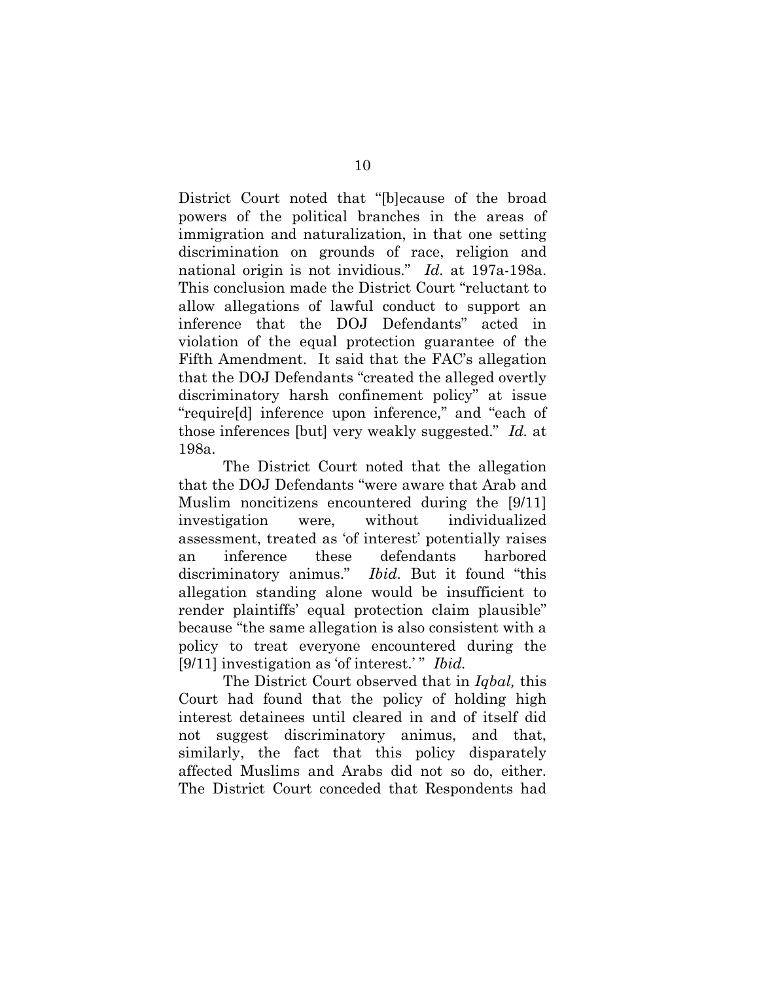District Court noted that "[b]ecause of the broad powers of the political branches in the areas of immigration and naturalization, in that one setting discrimination on grounds of race, religion and national origin is not invidious." *Id.* at 197a-198a. This conclusion made the District Court "reluctant to allow allegations of lawful conduct to support an inference that the DOJ Defendants" acted in violation of the equal protection guarantee of the Fifth Amendment. It said that the FAC's allegation that the DOJ Defendants "created the alleged overtly discriminatory harsh confinement policy" at issue "require[d] inference upon inference," and "each of those inferences [but] very weakly suggested." *Id.* at 198a.

The District Court noted that the allegation that the DOJ Defendants "were aware that Arab and Muslim noncitizens encountered during the [9/11] investigation were, without individualized assessment, treated as 'of interest' potentially raises an inference these defendants harbored discriminatory animus." *Ibid.* But it found "this allegation standing alone would be insufficient to render plaintiffs' equal protection claim plausible" because "the same allegation is also consistent with a policy to treat everyone encountered during the [9/11] investigation as 'of interest.' " *Ibid.* 

The District Court observed that in *Iqbal,* this Court had found that the policy of holding high interest detainees until cleared in and of itself did not suggest discriminatory animus, and that, similarly, the fact that this policy disparately affected Muslims and Arabs did not so do, either. The District Court conceded that Respondents had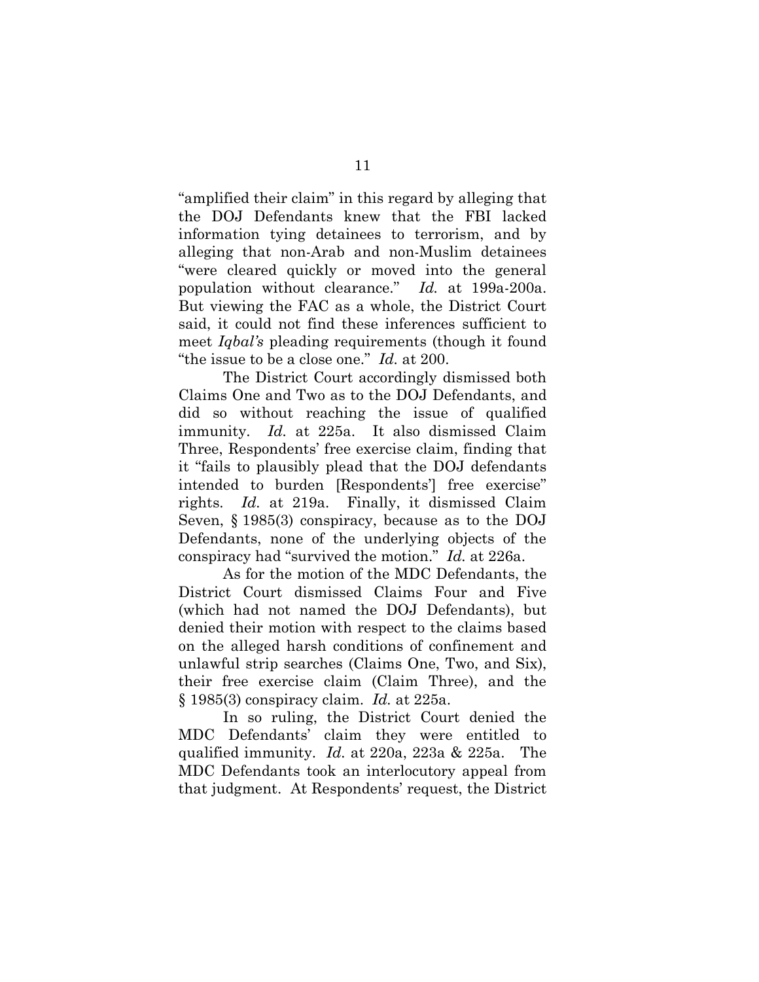"amplified their claim" in this regard by alleging that the DOJ Defendants knew that the FBI lacked information tying detainees to terrorism, and by alleging that non-Arab and non-Muslim detainees "were cleared quickly or moved into the general population without clearance." *Id.* at 199a-200a. But viewing the FAC as a whole, the District Court said, it could not find these inferences sufficient to meet *Iqbal's* pleading requirements (though it found "the issue to be a close one." *Id.* at 200.

The District Court accordingly dismissed both Claims One and Two as to the DOJ Defendants, and did so without reaching the issue of qualified immunity. *Id.* at 225a. It also dismissed Claim Three, Respondents' free exercise claim, finding that it "fails to plausibly plead that the DOJ defendants intended to burden [Respondents'] free exercise" rights. *Id.* at 219a. Finally, it dismissed Claim Seven, § 1985(3) conspiracy, because as to the DOJ Defendants, none of the underlying objects of the conspiracy had "survived the motion." *Id.* at 226a.

As for the motion of the MDC Defendants, the District Court dismissed Claims Four and Five (which had not named the DOJ Defendants), but denied their motion with respect to the claims based on the alleged harsh conditions of confinement and unlawful strip searches (Claims One, Two, and Six), their free exercise claim (Claim Three), and the § 1985(3) conspiracy claim. *Id.* at 225a.

In so ruling, the District Court denied the MDC Defendants' claim they were entitled to qualified immunity. *Id.* at 220a, 223a & 225a. The MDC Defendants took an interlocutory appeal from that judgment. At Respondents' request, the District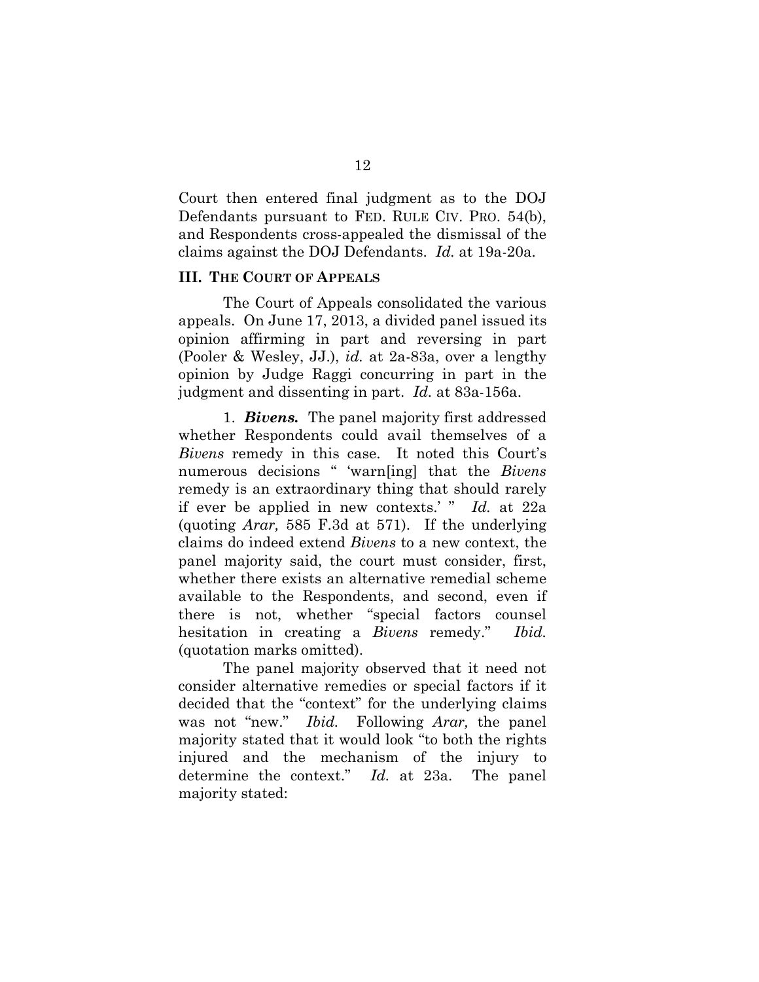Court then entered final judgment as to the DOJ Defendants pursuant to FED. RULE CIV. PRO. 54(b), and Respondents cross-appealed the dismissal of the claims against the DOJ Defendants. *Id.* at 19a-20a.

#### **III. THE COURT OF APPEALS**

The Court of Appeals consolidated the various appeals. On June 17, 2013, a divided panel issued its opinion affirming in part and reversing in part (Pooler & Wesley, JJ.), *id.* at 2a-83a, over a lengthy opinion by Judge Raggi concurring in part in the judgment and dissenting in part. *Id.* at 83a-156a.

1. *Bivens.* The panel majority first addressed whether Respondents could avail themselves of a *Bivens* remedy in this case. It noted this Court's numerous decisions " 'warn[ing] that the *Bivens*  remedy is an extraordinary thing that should rarely if ever be applied in new contexts.' " *Id.* at 22a (quoting *Arar,* 585 F.3d at 571). If the underlying claims do indeed extend *Bivens* to a new context, the panel majority said, the court must consider, first, whether there exists an alternative remedial scheme available to the Respondents, and second, even if there is not, whether "special factors counsel hesitation in creating a *Bivens* remedy." *Ibid.*  (quotation marks omitted).

The panel majority observed that it need not consider alternative remedies or special factors if it decided that the "context" for the underlying claims was not "new." *Ibid.* Following *Arar,* the panel majority stated that it would look "to both the rights injured and the mechanism of the injury to determine the context." *Id.* at 23a. The panel majority stated: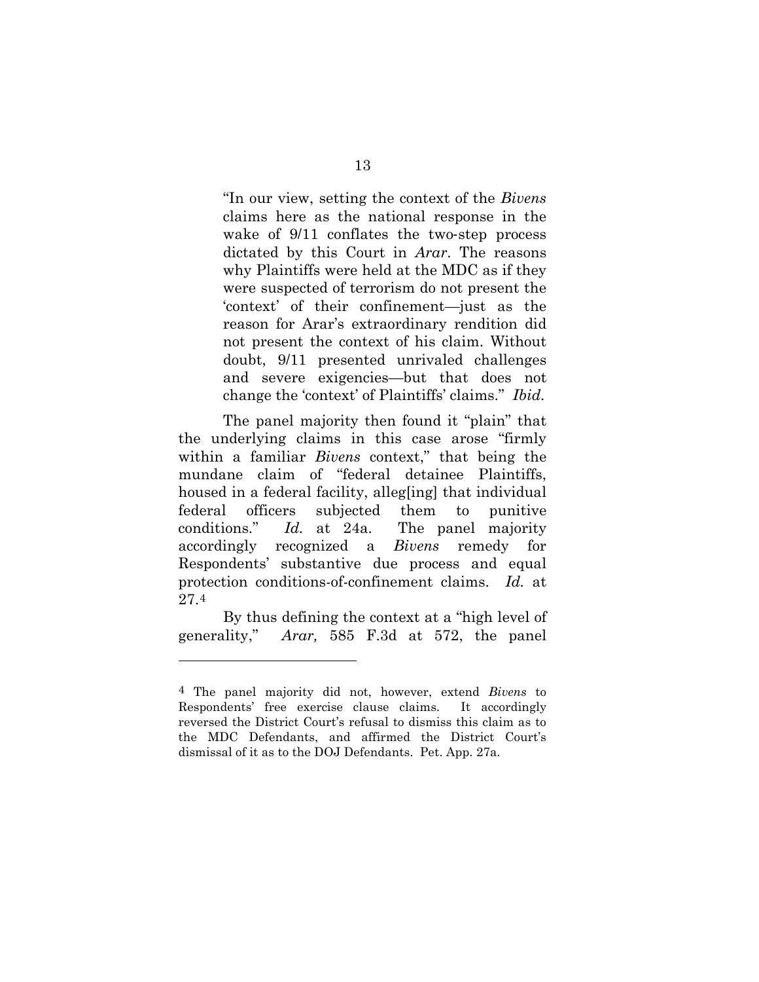"In our view, setting the context of the *Bivens*  claims here as the national response in the wake of  $9/11$  conflates the two-step process dictated by this Court in *Arar*. The reasons why Plaintiffs were held at the MDC as if they were suspected of terrorism do not present the 'context' of their confinement—just as the reason for Arar's extraordinary rendition did not present the context of his claim. Without doubt, 9/11 presented unrivaled challenges and severe exigencies—but that does not change the 'context' of Plaintiffs' claims." *Ibid.*

The panel majority then found it "plain" that the underlying claims in this case arose "firmly within a familiar *Bivens* context," that being the mundane claim of "federal detainee Plaintiffs, housed in a federal facility, allegeling that individual federal officers subjected them to punitive conditions." *Id.* at 24a. The panel majority accordingly recognized a *Bivens* remedy for Respondents' substantive due process and equal protection conditions-of-confinement claims. *Id.* at 27.[4](#page-23-0)

By thus defining the context at a "high level of generality," *Arar,* 585 F.3d at 572, the panel

 $\overline{a}$ 

<span id="page-23-0"></span><sup>4</sup> The panel majority did not, however, extend *Bivens* to Respondents' free exercise clause claims. It accordingly reversed the District Court's refusal to dismiss this claim as to the MDC Defendants, and affirmed the District Court's dismissal of it as to the DOJ Defendants. Pet. App. 27a.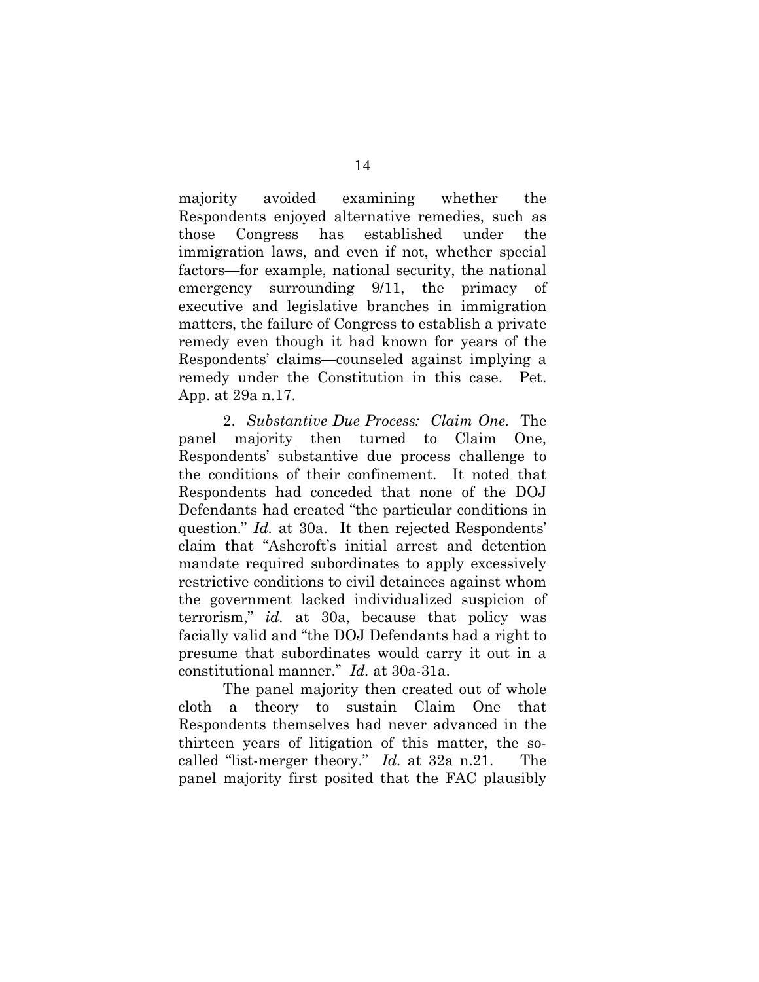majority avoided examining whether the Respondents enjoyed alternative remedies, such as those Congress has established under the immigration laws, and even if not, whether special factors—for example, national security, the national emergency surrounding 9/11, the primacy of executive and legislative branches in immigration matters, the failure of Congress to establish a private remedy even though it had known for years of the Respondents' claims—counseled against implying a remedy under the Constitution in this case. Pet. App. at 29a n.17.

2. *Substantive Due Process: Claim One.* The panel majority then turned to Claim One, Respondents' substantive due process challenge to the conditions of their confinement. It noted that Respondents had conceded that none of the DOJ Defendants had created "the particular conditions in question." *Id.* at 30a. It then rejected Respondents' claim that "Ashcroft's initial arrest and detention mandate required subordinates to apply excessively restrictive conditions to civil detainees against whom the government lacked individualized suspicion of terrorism," *id.* at 30a, because that policy was facially valid and "the DOJ Defendants had a right to presume that subordinates would carry it out in a constitutional manner." *Id.* at 30a-31a.

The panel majority then created out of whole cloth a theory to sustain Claim One that Respondents themselves had never advanced in the thirteen years of litigation of this matter, the socalled "list-merger theory." *Id.* at 32a n.21. The panel majority first posited that the FAC plausibly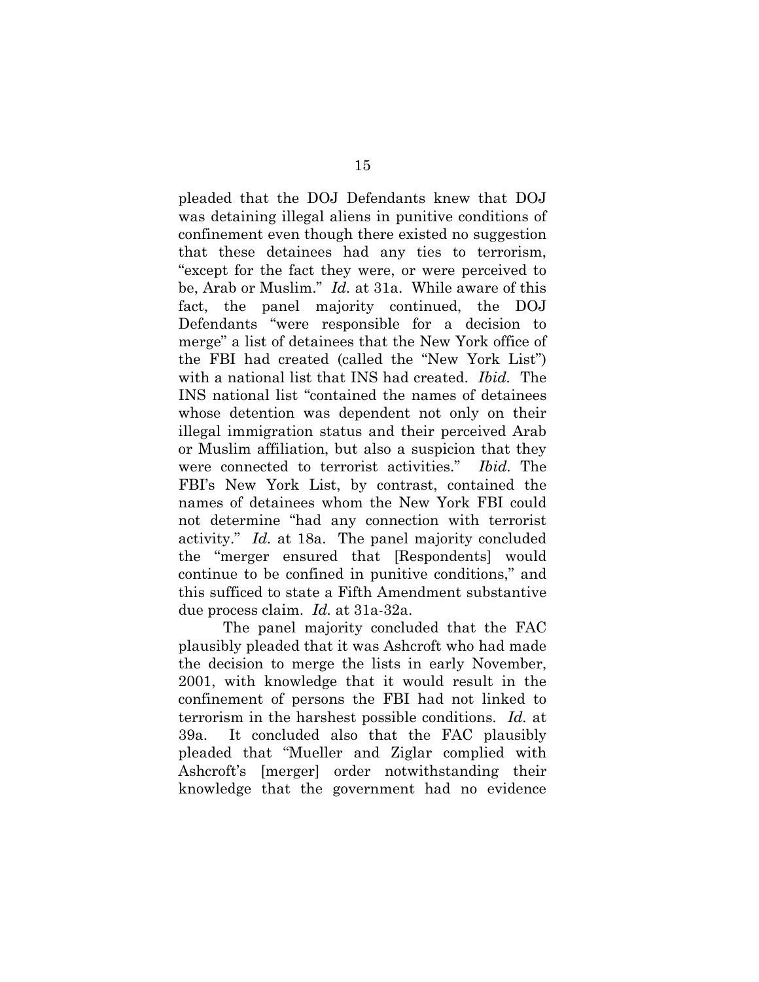pleaded that the DOJ Defendants knew that DOJ was detaining illegal aliens in punitive conditions of confinement even though there existed no suggestion that these detainees had any ties to terrorism, "except for the fact they were, or were perceived to be, Arab or Muslim." *Id.* at 31a. While aware of this fact, the panel majority continued, the DOJ Defendants "were responsible for a decision to merge" a list of detainees that the New York office of the FBI had created (called the "New York List") with a national list that INS had created. *Ibid.* The INS national list "contained the names of detainees whose detention was dependent not only on their illegal immigration status and their perceived Arab or Muslim affiliation, but also a suspicion that they were connected to terrorist activities." *Ibid.* The FBI's New York List, by contrast, contained the names of detainees whom the New York FBI could not determine "had any connection with terrorist activity." *Id.* at 18a. The panel majority concluded the "merger ensured that [Respondents] would continue to be confined in punitive conditions," and this sufficed to state a Fifth Amendment substantive due process claim. *Id.* at 31a-32a.

The panel majority concluded that the FAC plausibly pleaded that it was Ashcroft who had made the decision to merge the lists in early November, 2001, with knowledge that it would result in the confinement of persons the FBI had not linked to terrorism in the harshest possible conditions. *Id.* at 39a. It concluded also that the FAC plausibly pleaded that "Mueller and Ziglar complied with Ashcroft's [merger] order notwithstanding their knowledge that the government had no evidence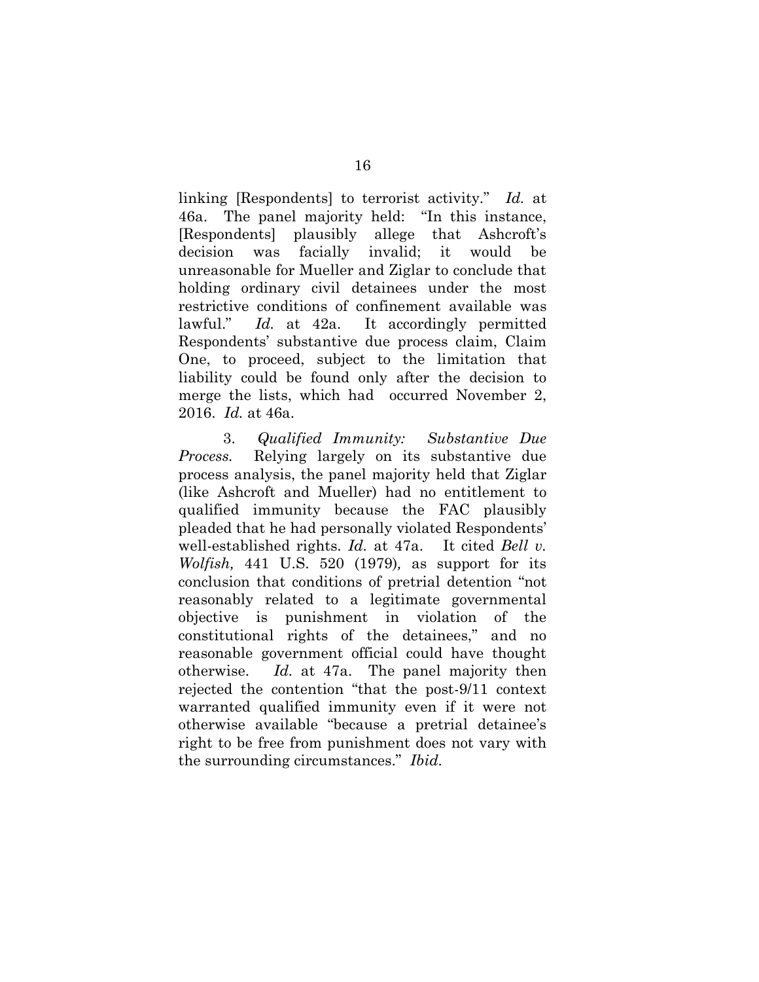linking [Respondents] to terrorist activity." *Id.* at 46a. The panel majority held: "In this instance, [Respondents] plausibly allege that Ashcroft's decision was facially invalid; it would be unreasonable for Mueller and Ziglar to conclude that holding ordinary civil detainees under the most restrictive conditions of confinement available was lawful." *Id.* at 42a. It accordingly permitted Respondents' substantive due process claim, Claim One, to proceed, subject to the limitation that liability could be found only after the decision to merge the lists, which had occurred November 2, 2016. *Id.* at 46a.

3. *Qualified Immunity: Substantive Due Process.* Relying largely on its substantive due process analysis, the panel majority held that Ziglar (like Ashcroft and Mueller) had no entitlement to qualified immunity because the FAC plausibly pleaded that he had personally violated Respondents' well-established rights. *Id.* at 47a. It cited *Bell v. Wolfish,* 441 U.S. 520 (1979)*,* as support for its conclusion that conditions of pretrial detention "not reasonably related to a legitimate governmental objective is punishment in violation of the constitutional rights of the detainees," and no reasonable government official could have thought otherwise. *Id.* at 47a. The panel majority then rejected the contention "that the post-9/11 context warranted qualified immunity even if it were not otherwise available "because a pretrial detainee's right to be free from punishment does not vary with the surrounding circumstances." *Ibid.*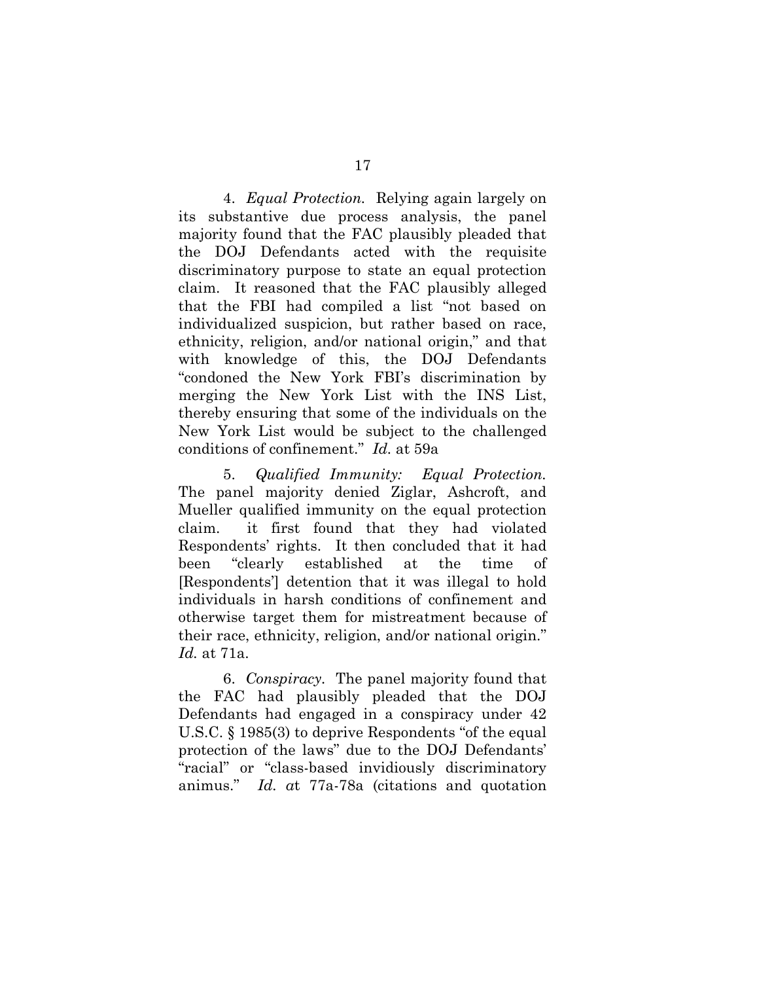4. *Equal Protection.* Relying again largely on its substantive due process analysis, the panel majority found that the FAC plausibly pleaded that the DOJ Defendants acted with the requisite discriminatory purpose to state an equal protection claim. It reasoned that the FAC plausibly alleged that the FBI had compiled a list "not based on individualized suspicion, but rather based on race, ethnicity, religion, and/or national origin," and that with knowledge of this, the DOJ Defendants "condoned the New York FBI's discrimination by merging the New York List with the INS List, thereby ensuring that some of the individuals on the New York List would be subject to the challenged conditions of confinement." *Id.* at 59a

5. *Qualified Immunity: Equal Protection.*  The panel majority denied Ziglar, Ashcroft, and Mueller qualified immunity on the equal protection claim. it first found that they had violated Respondents' rights. It then concluded that it had been "clearly established at the time of [Respondents'] detention that it was illegal to hold individuals in harsh conditions of confinement and otherwise target them for mistreatment because of their race, ethnicity, religion, and/or national origin." *Id.* at 71a.

6. *Conspiracy.* The panel majority found that the FAC had plausibly pleaded that the DOJ Defendants had engaged in a conspiracy under 42 U.S.C. § 1985(3) to deprive Respondents "of the equal protection of the laws" due to the DOJ Defendants' "racial" or "class-based invidiously discriminatory animus." *Id. a*t 77a-78a (citations and quotation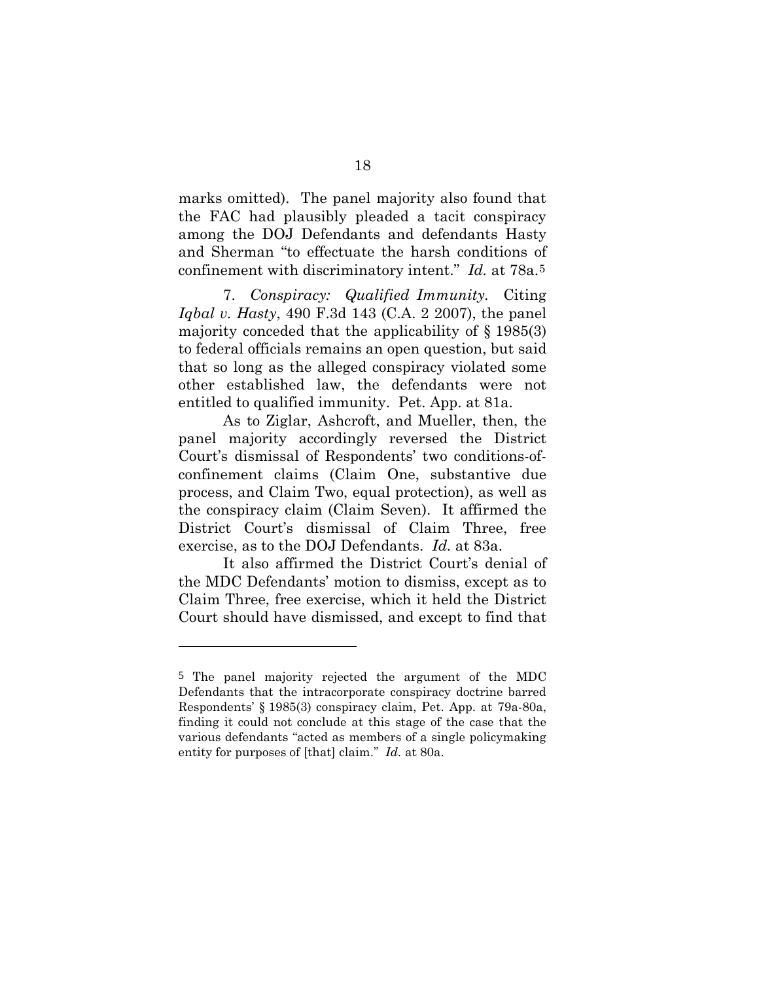marks omitted). The panel majority also found that the FAC had plausibly pleaded a tacit conspiracy among the DOJ Defendants and defendants Hasty and Sherman "to effectuate the harsh conditions of confinement with discriminatory intent." *Id.* at 78a.[5](#page-28-0)

7. *Conspiracy: Qualified Immunity.* Citing *Iqbal v. Hasty*, 490 F.3d 143 (C.A. 2 2007), the panel majority conceded that the applicability of  $\S$  1985(3) to federal officials remains an open question, but said that so long as the alleged conspiracy violated some other established law, the defendants were not entitled to qualified immunity. Pet. App. at 81a.

As to Ziglar, Ashcroft, and Mueller, then, the panel majority accordingly reversed the District Court's dismissal of Respondents' two conditions-ofconfinement claims (Claim One, substantive due process, and Claim Two, equal protection), as well as the conspiracy claim (Claim Seven). It affirmed the District Court's dismissal of Claim Three, free exercise, as to the DOJ Defendants. *Id.* at 83a.

It also affirmed the District Court's denial of the MDC Defendants' motion to dismiss, except as to Claim Three, free exercise, which it held the District Court should have dismissed, and except to find that

 $\overline{a}$ 

<span id="page-28-0"></span><sup>5</sup> The panel majority rejected the argument of the MDC Defendants that the intracorporate conspiracy doctrine barred Respondents' § 1985(3) conspiracy claim, Pet. App. at 79a-80a, finding it could not conclude at this stage of the case that the various defendants "acted as members of a single policymaking entity for purposes of [that] claim." *Id.* at 80a.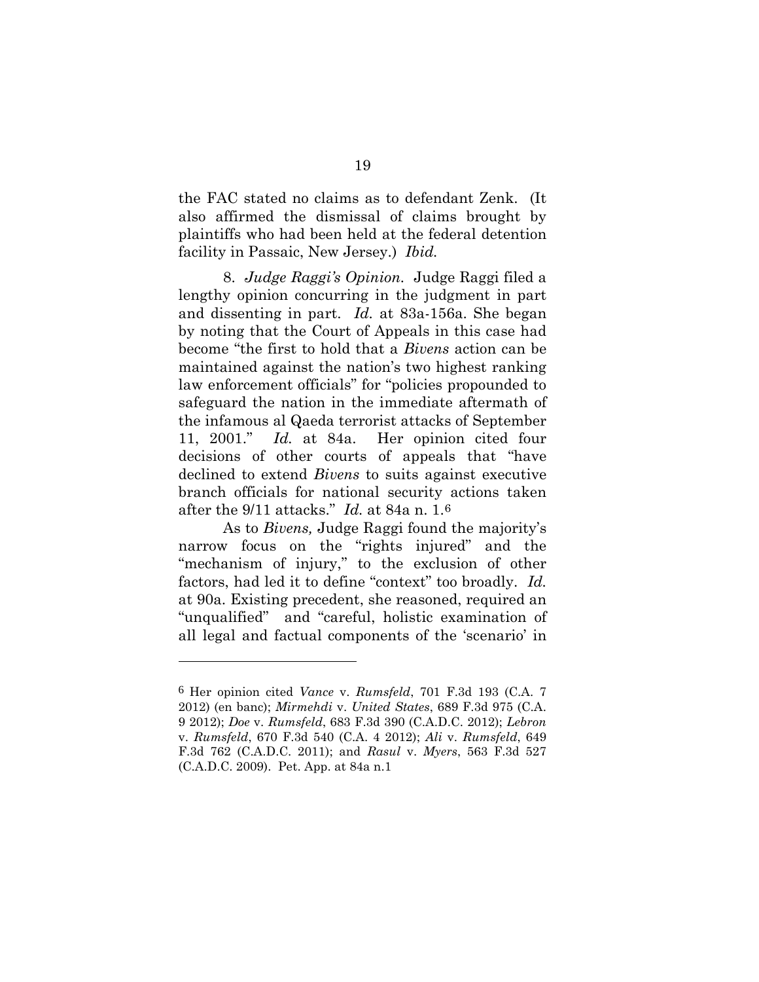the FAC stated no claims as to defendant Zenk. (It also affirmed the dismissal of claims brought by plaintiffs who had been held at the federal detention facility in Passaic, New Jersey.) *Ibid.*

8. *Judge Raggi's Opinion.* Judge Raggi filed a lengthy opinion concurring in the judgment in part and dissenting in part. *Id.* at 83a-156a. She began by noting that the Court of Appeals in this case had become "the first to hold that a *Bivens* action can be maintained against the nation's two highest ranking law enforcement officials" for "policies propounded to safeguard the nation in the immediate aftermath of the infamous al Qaeda terrorist attacks of September 11, 2001." *Id.* at 84a. Her opinion cited four decisions of other courts of appeals that "have declined to extend *Bivens* to suits against executive branch officials for national security actions taken after the 9/11 attacks." *Id.* at 84a n. 1.[6](#page-29-0)

As to *Bivens,* Judge Raggi found the majority's narrow focus on the "rights injured" and the "mechanism of injury," to the exclusion of other factors, had led it to define "context" too broadly. *Id.*  at 90a. Existing precedent, she reasoned, required an "unqualified" and "careful, holistic examination of all legal and factual components of the 'scenario' in

 $\overline{a}$ 

<span id="page-29-0"></span><sup>6</sup> Her opinion cited *Vance* v. *Rumsfeld*, 701 F.3d 193 (C.A. 7 2012) (en banc); *Mirmehdi* v. *United States*, 689 F.3d 975 (C.A. 9 2012); *Doe* v. *Rumsfeld*, 683 F.3d 390 (C.A.D.C. 2012); *Lebron*  v. *Rumsfeld*, 670 F.3d 540 (C.A. 4 2012); *Ali* v. *Rumsfeld*, 649 F.3d 762 (C.A.D.C. 2011); and *Rasul* v. *Myers*, 563 F.3d 527 (C.A.D.C. 2009). Pet. App. at 84a n.1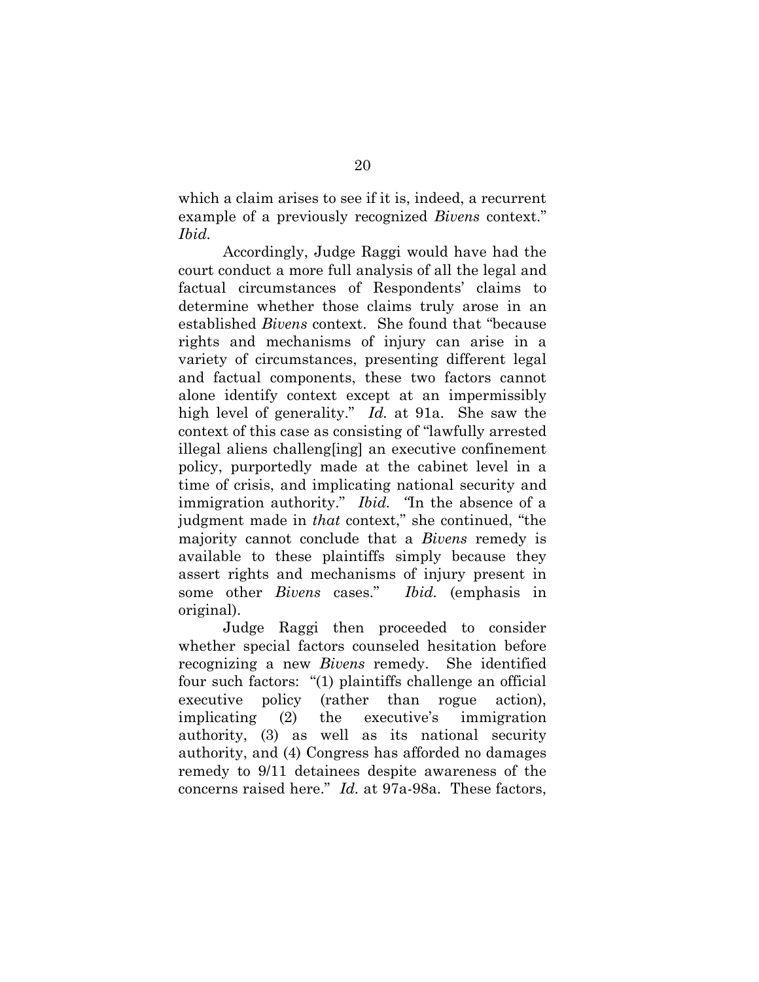which a claim arises to see if it is, indeed, a recurrent example of a previously recognized *Bivens* context." *Ibid.* 

Accordingly, Judge Raggi would have had the court conduct a more full analysis of all the legal and factual circumstances of Respondents' claims to determine whether those claims truly arose in an established *Bivens* context. She found that "because rights and mechanisms of injury can arise in a variety of circumstances, presenting different legal and factual components, these two factors cannot alone identify context except at an impermissibly high level of generality." *Id.* at 91a. She saw the context of this case as consisting of "lawfully arrested illegal aliens challeng[ing] an executive confinement policy, purportedly made at the cabinet level in a time of crisis, and implicating national security and immigration authority." *Ibid. "*In the absence of a judgment made in *that* context," she continued, "the majority cannot conclude that a *Bivens* remedy is available to these plaintiffs simply because they assert rights and mechanisms of injury present in some other *Bivens* cases." *Ibid.* (emphasis in original).

Judge Raggi then proceeded to consider whether special factors counseled hesitation before recognizing a new *Bivens* remedy. She identified four such factors: "(1) plaintiffs challenge an official executive policy (rather than rogue action), implicating (2) the executive's immigration authority, (3) as well as its national security authority, and (4) Congress has afforded no damages remedy to 9/11 detainees despite awareness of the concerns raised here." *Id.* at 97a-98a. These factors,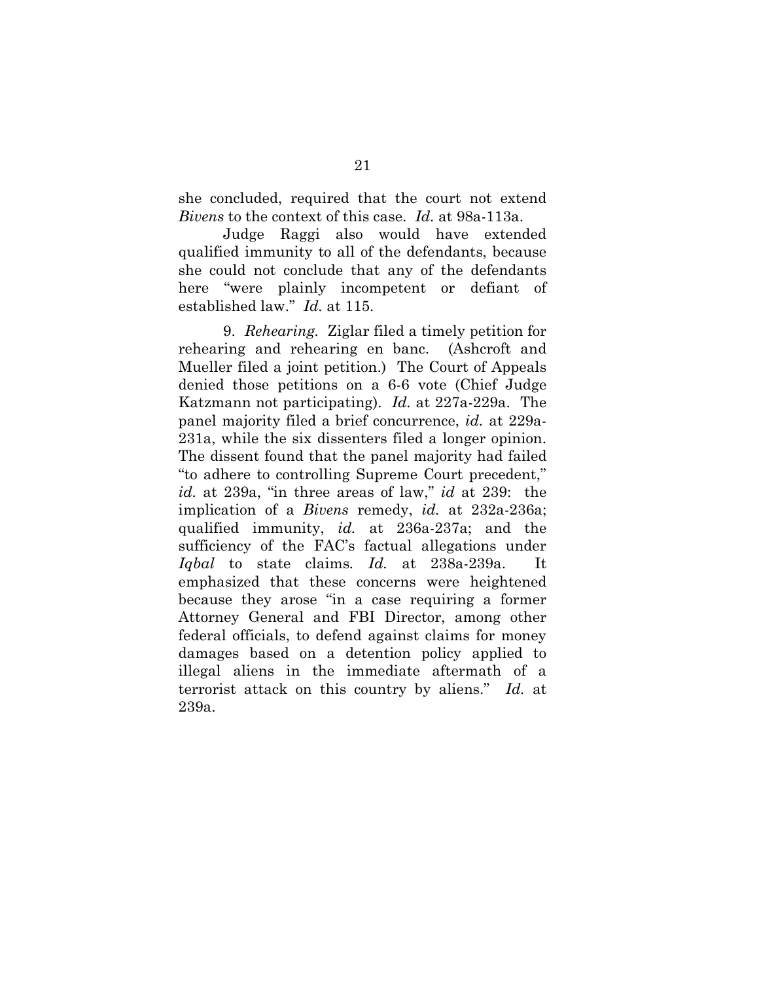she concluded, required that the court not extend *Bivens* to the context of this case. *Id.* at 98a-113a.

Judge Raggi also would have extended qualified immunity to all of the defendants, because she could not conclude that any of the defendants here "were plainly incompetent or defiant of established law." *Id.* at 115.

9. *Rehearing.* Ziglar filed a timely petition for rehearing and rehearing en banc. (Ashcroft and Mueller filed a joint petition.) The Court of Appeals denied those petitions on a 6-6 vote (Chief Judge Katzmann not participating). *Id.* at 227a-229a. The panel majority filed a brief concurrence, *id.* at 229a-231a, while the six dissenters filed a longer opinion. The dissent found that the panel majority had failed "to adhere to controlling Supreme Court precedent," *id.* at 239a, "in three areas of law," *id* at 239: the implication of a *Bivens* remedy, *id.* at 232a-236a; qualified immunity, *id.* at 236a-237a; and the sufficiency of the FAC's factual allegations under *Iqbal* to state claims*. Id.* at 238a-239a. It emphasized that these concerns were heightened because they arose "in a case requiring a former Attorney General and FBI Director, among other federal officials, to defend against claims for money damages based on a detention policy applied to illegal aliens in the immediate aftermath of a terrorist attack on this country by aliens." *Id.* at 239a.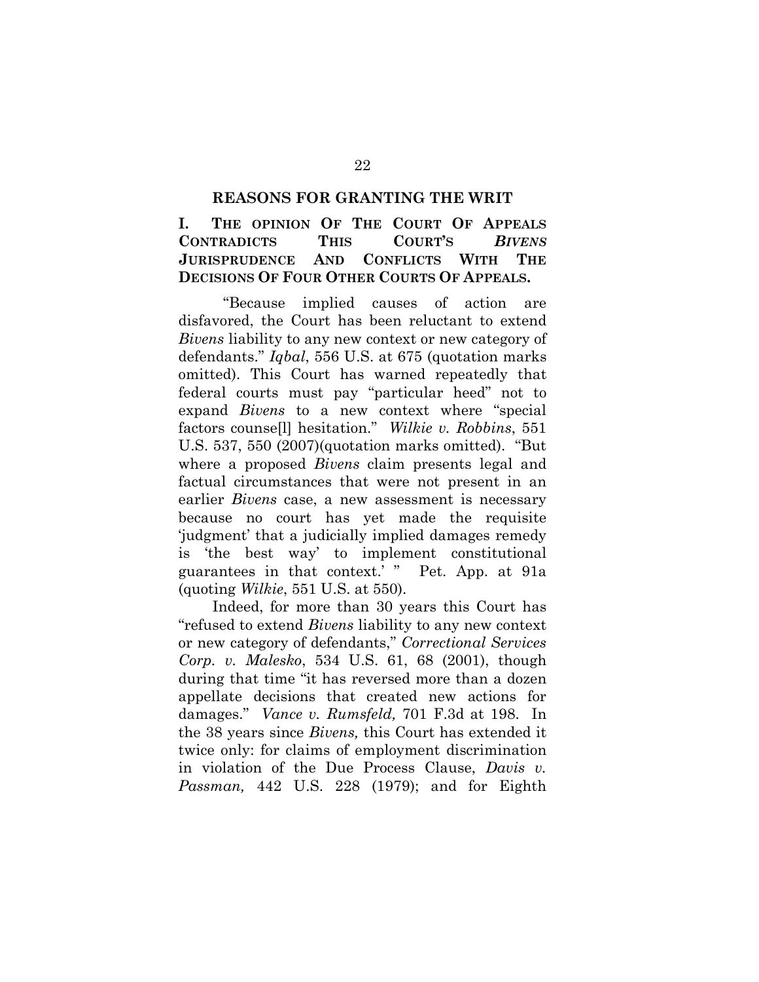### **REASONS FOR GRANTING THE WRIT**

**I. THE OPINION OF THE COURT OF APPEALS CONTRADICTS THIS COURT'S** *BIVENS* **JURISPRUDENCE AND CONFLICTS WITH THE DECISIONS OF FOUR OTHER COURTS OF APPEALS.**

"Because implied causes of action are disfavored, the Court has been reluctant to extend *Bivens* liability to any new context or new category of defendants." *Iqbal*, 556 U.S. at 675 (quotation marks omitted). This Court has warned repeatedly that federal courts must pay "particular heed" not to expand *Bivens* to a new context where "special factors counse[l] hesitation." *Wilkie v. Robbins*, 551 U.S. 537, 550 (2007)(quotation marks omitted). "But where a proposed *Bivens* claim presents legal and factual circumstances that were not present in an earlier *Bivens* case, a new assessment is necessary because no court has yet made the requisite 'judgment' that a judicially implied damages remedy is 'the best way' to implement constitutional guarantees in that context.' " Pet. App. at 91a (quoting *Wilkie*, 551 U.S. at 550).

<span id="page-32-0"></span>Indeed, for more than 30 years this Court has "refused to extend *Bivens* liability to any new context or new category of defendants," *Correctional Services Corp. v. Malesko*, 534 U.S. 61, 68 (2001), though during that time "it has reversed more than a dozen appellate decisions that created new actions for damages." *Vance v. Rumsfeld,* 701 F.3d at 198. In the 38 years since *Bivens,* this Court has extended it twice only: for claims of employment discrimination in violation of the Due Process Clause, *Davis v. Passman,* 442 U.S. 228 (1979); and for Eighth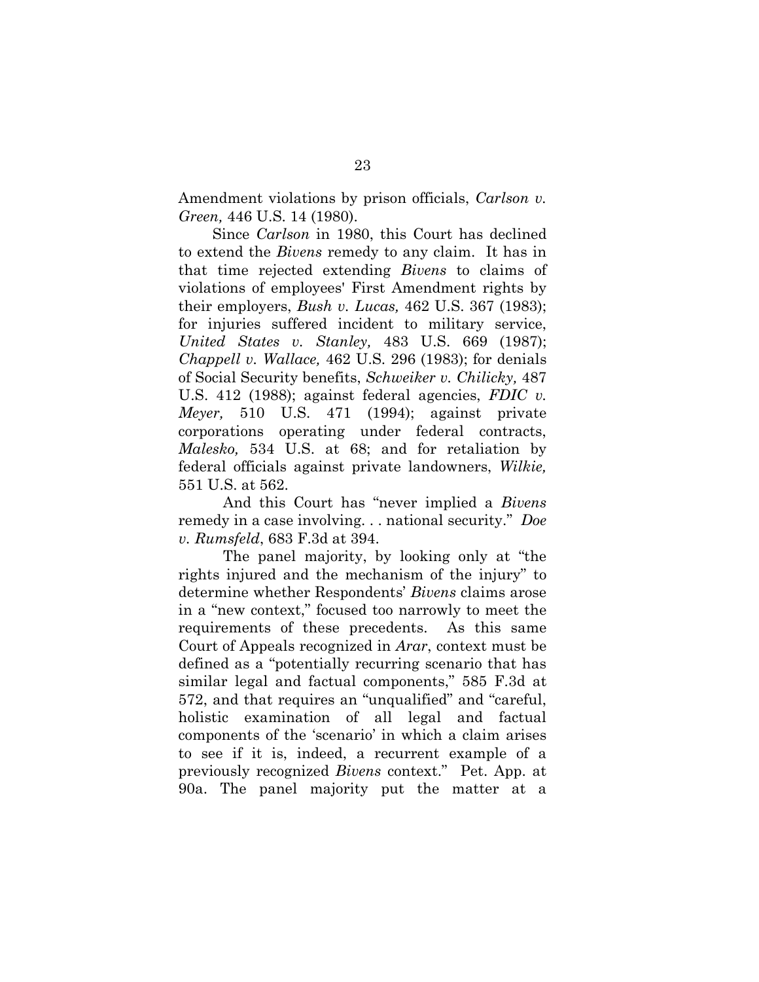Amendment violations by prison officials, *Carlson v. Green,* 446 U.S. 14 (1980).

Since *Carlson* in 1980, this Court has declined to extend the *Bivens* remedy to any claim. It has in that time rejected extending *Bivens* to claims of violations of employees' First Amendment rights by their employers, *Bush v. Lucas,* 462 U.S. 367 (1983); for injuries suffered incident to military service, *United States v. Stanley,* 483 U.S. 669 (1987); *Chappell v. Wallace,* 462 U.S. 296 (1983); for denials of Social Security benefits, *Schweiker v. Chilicky,* 487 U.S. 412 (1988); against federal agencies, *FDIC v. Meyer,* 510 U.S. 471 (1994); against private corporations operating under federal contracts, *Malesko,* 534 U.S. at 68; and for retaliation by federal officials against private landowners, *Wilkie,* 551 U.S. at 562.

<span id="page-33-0"></span>And this Court has "never implied a *Bivens* remedy in a case involving. . . national security." *Doe v. Rumsfeld*, 683 F.3d at 394.

The panel majority, by looking only at "the rights injured and the mechanism of the injury" to determine whether Respondents' *Bivens* claims arose in a "new context," focused too narrowly to meet the requirements of these precedents. As this same Court of Appeals recognized in *Arar*, context must be defined as a "potentially recurring scenario that has similar legal and factual components," 585 F.3d at 572, and that requires an "unqualified" and "careful, holistic examination of all legal and factual components of the 'scenario' in which a claim arises to see if it is, indeed, a recurrent example of a previously recognized *Bivens* context." Pet. App. at 90a. The panel majority put the matter at a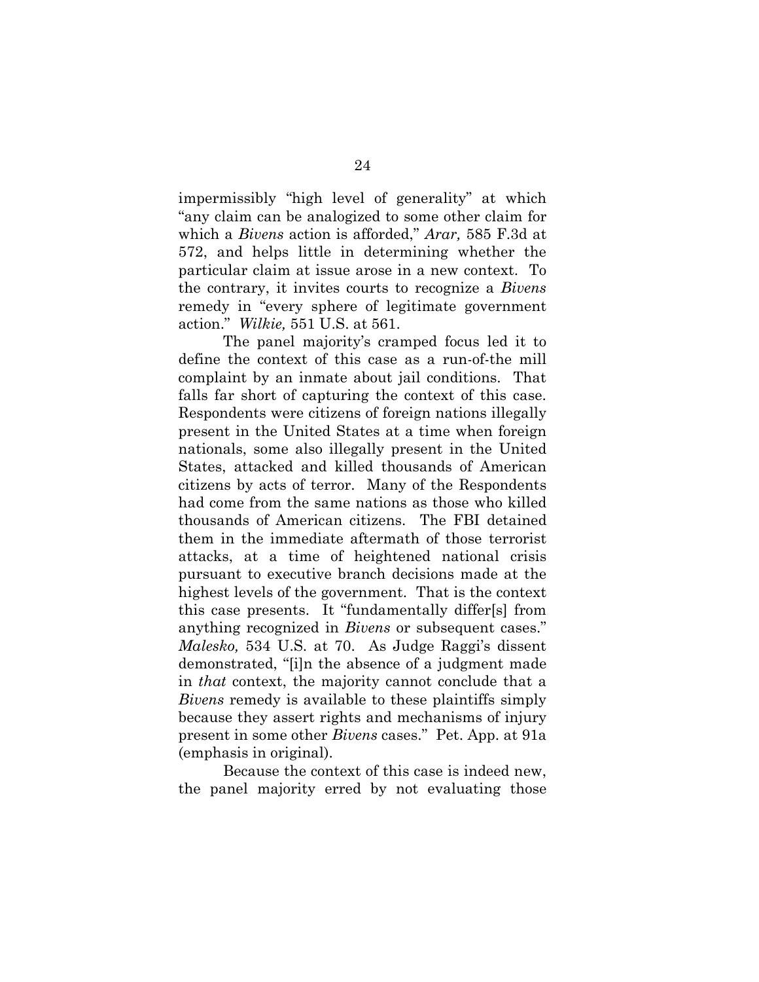impermissibly "high level of generality" at which "any claim can be analogized to some other claim for which a *Bivens* action is afforded," *Arar,* 585 F.3d at 572, and helps little in determining whether the particular claim at issue arose in a new context. To the contrary, it invites courts to recognize a *Bivens*  remedy in "every sphere of legitimate government action." *Wilkie,* 551 U.S. at 561.

The panel majority's cramped focus led it to define the context of this case as a run-of-the mill complaint by an inmate about jail conditions. That falls far short of capturing the context of this case. Respondents were citizens of foreign nations illegally present in the United States at a time when foreign nationals, some also illegally present in the United States, attacked and killed thousands of American citizens by acts of terror. Many of the Respondents had come from the same nations as those who killed thousands of American citizens. The FBI detained them in the immediate aftermath of those terrorist attacks, at a time of heightened national crisis pursuant to executive branch decisions made at the highest levels of the government. That is the context this case presents. It "fundamentally differ[s] from anything recognized in *Bivens* or subsequent cases." *Malesko,* 534 U.S. at 70. As Judge Raggi's dissent demonstrated, "[i]n the absence of a judgment made in *that* context, the majority cannot conclude that a *Bivens* remedy is available to these plaintiffs simply because they assert rights and mechanisms of injury present in some other *Bivens* cases." Pet. App. at 91a (emphasis in original).

<span id="page-34-0"></span>Because the context of this case is indeed new, the panel majority erred by not evaluating those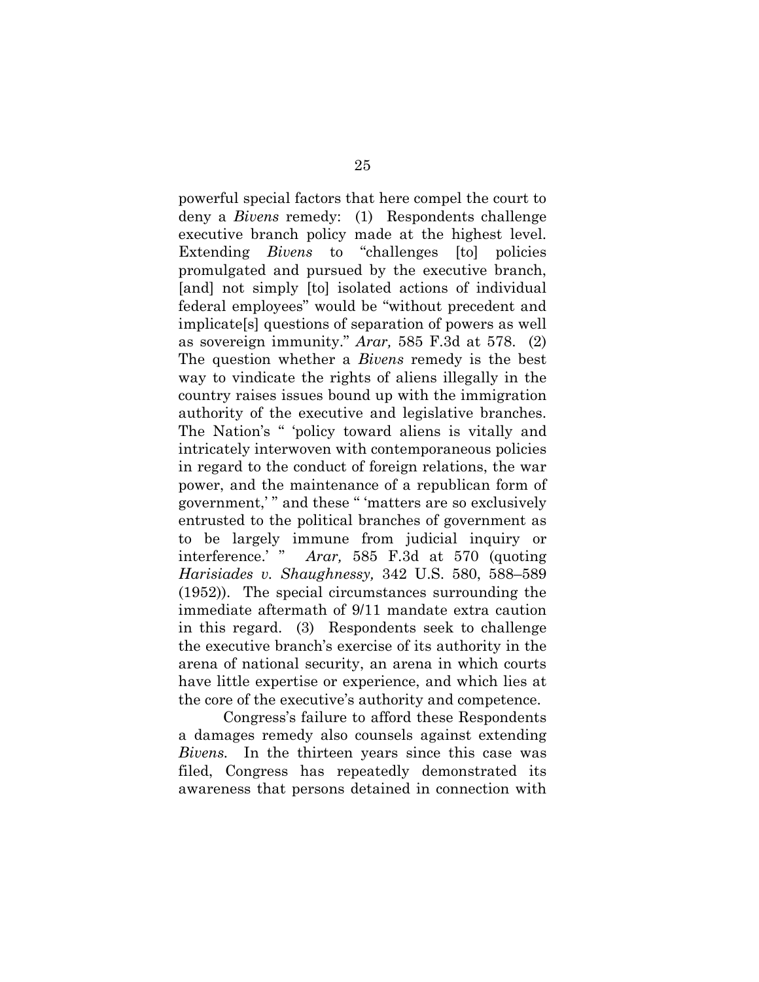powerful special factors that here compel the court to deny a *Bivens* remedy: (1) Respondents challenge executive branch policy made at the highest level. Extending *Bivens* to "challenges [to] policies promulgated and pursued by the executive branch, [and] not simply [to] isolated actions of individual federal employees" would be "without precedent and implicate[s] questions of separation of powers as well as sovereign immunity." *Arar,* 585 F.3d at 578. (2) The question whether a *Bivens* remedy is the best way to vindicate the rights of aliens illegally in the country raises issues bound up with the immigration authority of the executive and legislative branches. The Nation's " 'policy toward aliens is vitally and intricately interwoven with contemporaneous policies in regard to the conduct of foreign relations, the war power, and the maintenance of a republican form of government,' " and these " 'matters are so exclusively entrusted to the political branches of government as to be largely immune from judicial inquiry or interference.' " *Arar,* 585 F.3d at 570 (quoting *Harisiades v. Shaughnessy,* 342 U.S. 580, 588–589 (1952)). The special circumstances surrounding the immediate aftermath of 9/11 mandate extra caution in this regard. (3) Respondents seek to challenge the executive branch's exercise of its authority in the arena of national security, an arena in which courts have little expertise or experience, and which lies at the core of the executive's authority and competence.

Congress's failure to afford these Respondents a damages remedy also counsels against extending *Bivens.* In the thirteen years since this case was filed, Congress has repeatedly demonstrated its awareness that persons detained in connection with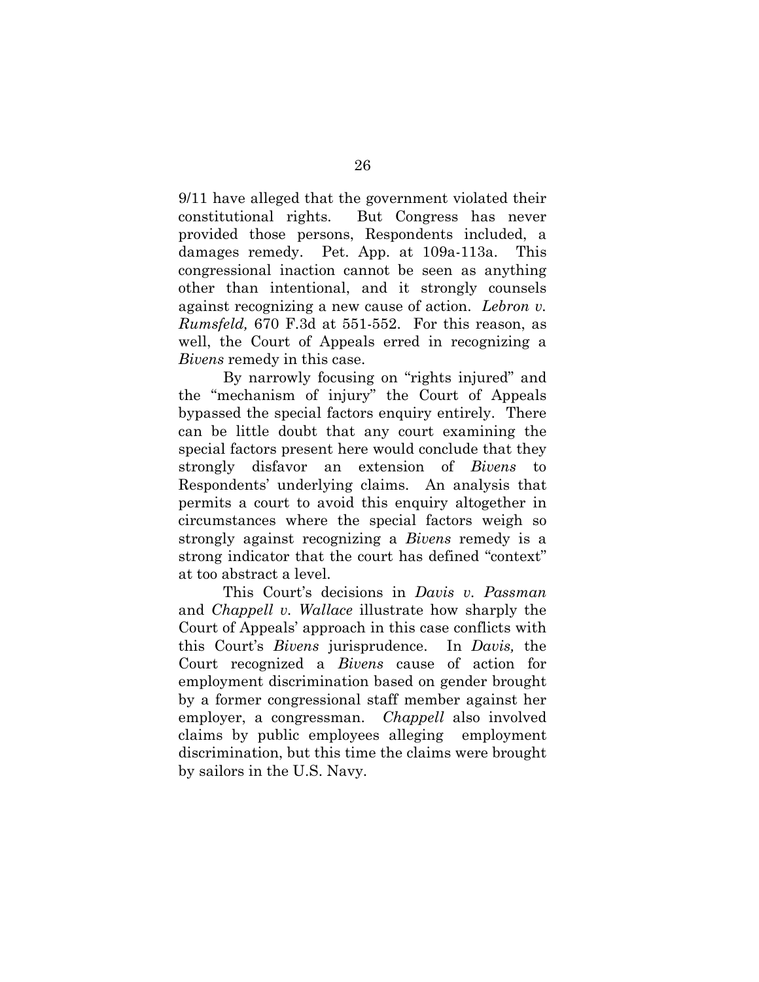9/11 have alleged that the government violated their constitutional rights. But Congress has never provided those persons, Respondents included, a damages remedy. Pet. App. at 109a-113a. This congressional inaction cannot be seen as anything other than intentional, and it strongly counsels against recognizing a new cause of action. *Lebron v. Rumsfeld,* 670 F.3d at 551-552. For this reason, as well, the Court of Appeals erred in recognizing a *Bivens* remedy in this case.

<span id="page-36-0"></span>By narrowly focusing on "rights injured" and the "mechanism of injury" the Court of Appeals bypassed the special factors enquiry entirely. There can be little doubt that any court examining the special factors present here would conclude that they strongly disfavor an extension of *Bivens* to Respondents' underlying claims. An analysis that permits a court to avoid this enquiry altogether in circumstances where the special factors weigh so strongly against recognizing a *Bivens* remedy is a strong indicator that the court has defined "context" at too abstract a level.

This Court's decisions in *Davis v. Passman*  and *Chappell v. Wallace* illustrate how sharply the Court of Appeals' approach in this case conflicts with this Court's *Bivens* jurisprudence. In *Davis,* the Court recognized a *Bivens* cause of action for employment discrimination based on gender brought by a former congressional staff member against her employer, a congressman. *Chappell* also involved claims by public employees alleging employment discrimination, but this time the claims were brought by sailors in the U.S. Navy.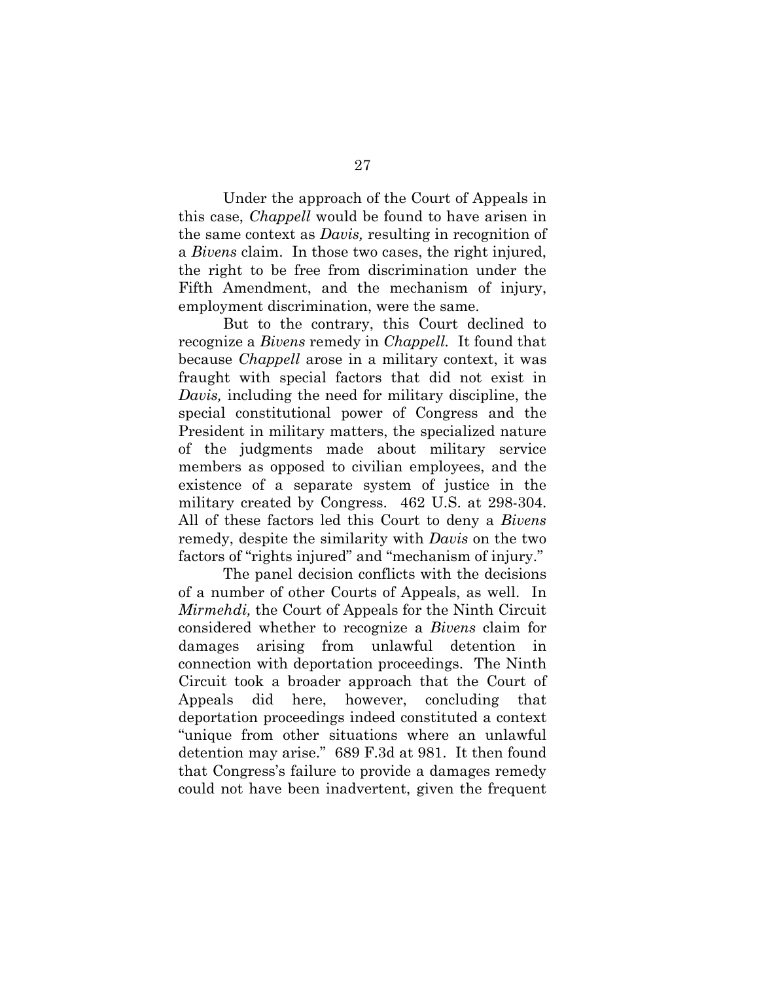Under the approach of the Court of Appeals in this case, *Chappell* would be found to have arisen in the same context as *Davis,* resulting in recognition of a *Bivens* claim. In those two cases, the right injured, the right to be free from discrimination under the Fifth Amendment, and the mechanism of injury, employment discrimination, were the same.

But to the contrary, this Court declined to recognize a *Bivens* remedy in *Chappell.* It found that because *Chappell* arose in a military context, it was fraught with special factors that did not exist in *Davis,* including the need for military discipline, the special constitutional power of Congress and the President in military matters, the specialized nature of the judgments made about military service members as opposed to civilian employees, and the existence of a separate system of justice in the military created by Congress. 462 U.S. at 298-304. All of these factors led this Court to deny a *Bivens*  remedy, despite the similarity with *Davis* on the two factors of "rights injured" and "mechanism of injury."

The panel decision conflicts with the decisions of a number of other Courts of Appeals, as well. In *Mirmehdi,* the Court of Appeals for the Ninth Circuit considered whether to recognize a *Bivens* claim for damages arising from unlawful detention in connection with deportation proceedings. The Ninth Circuit took a broader approach that the Court of Appeals did here, however, concluding that deportation proceedings indeed constituted a context "unique from other situations where an unlawful detention may arise." 689 F.3d at 981. It then found that Congress's failure to provide a damages remedy could not have been inadvertent, given the frequent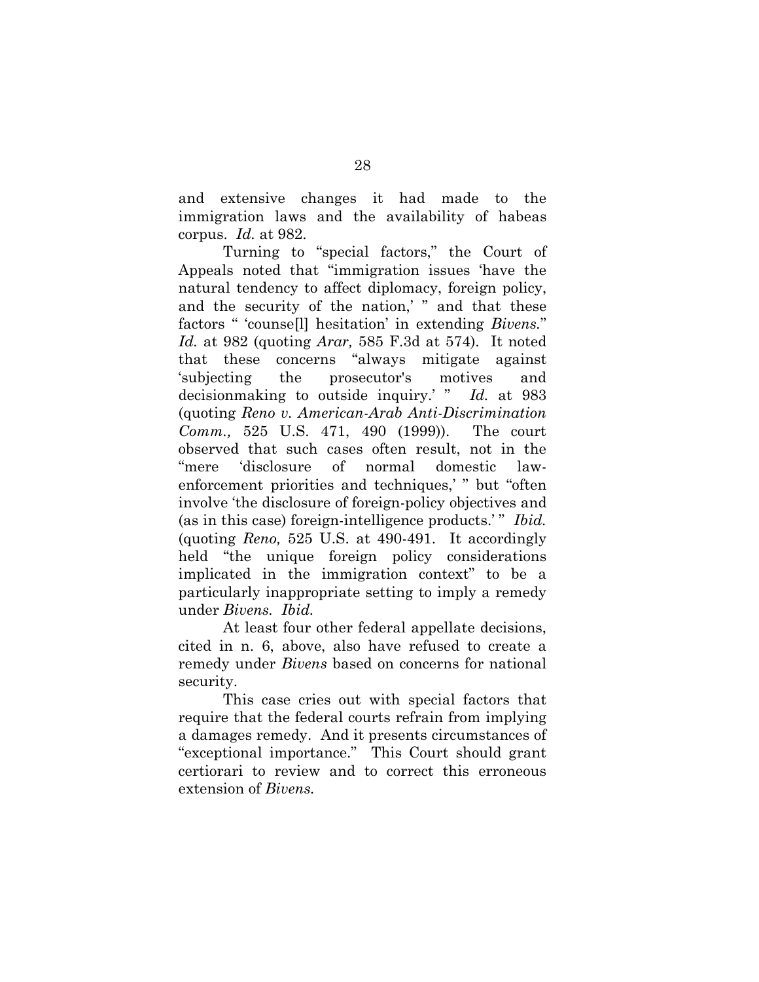and extensive changes it had made to the immigration laws and the availability of habeas corpus. *Id.* at 982.

Turning to "special factors," the Court of Appeals noted that "immigration issues 'have the natural tendency to affect diplomacy, foreign policy, and the security of the nation,' " and that these factors " 'counse[l] hesitation' in extending *Bivens.*" *Id.* at 982 (quoting *Arar,* 585 F.3d at 574). It noted that these concerns "always mitigate against 'subjecting the prosecutor's motives and decisionmaking to outside inquiry.' " *Id.* at 983 (quoting *Reno v. American-Arab Anti-Discrimination Comm.,* 525 U.S. 471, 490 (1999)). The court observed that such cases often result, not in the "mere 'disclosure of normal domestic lawenforcement priorities and techniques,' " but "often involve 'the disclosure of foreign-policy objectives and (as in this case) foreign-intelligence products.'" *Ibid.* (quoting *Reno,* 525 U.S. at 490-491. It accordingly held "the unique foreign policy considerations implicated in the immigration context" to be a particularly inappropriate setting to imply a remedy under *Bivens. Ibid.* 

<span id="page-38-0"></span>At least four other federal appellate decisions, cited in n. 6, above, also have refused to create a remedy under *Bivens* based on concerns for national security.

This case cries out with special factors that require that the federal courts refrain from implying a damages remedy. And it presents circumstances of "exceptional importance." This Court should grant certiorari to review and to correct this erroneous extension of *Bivens.*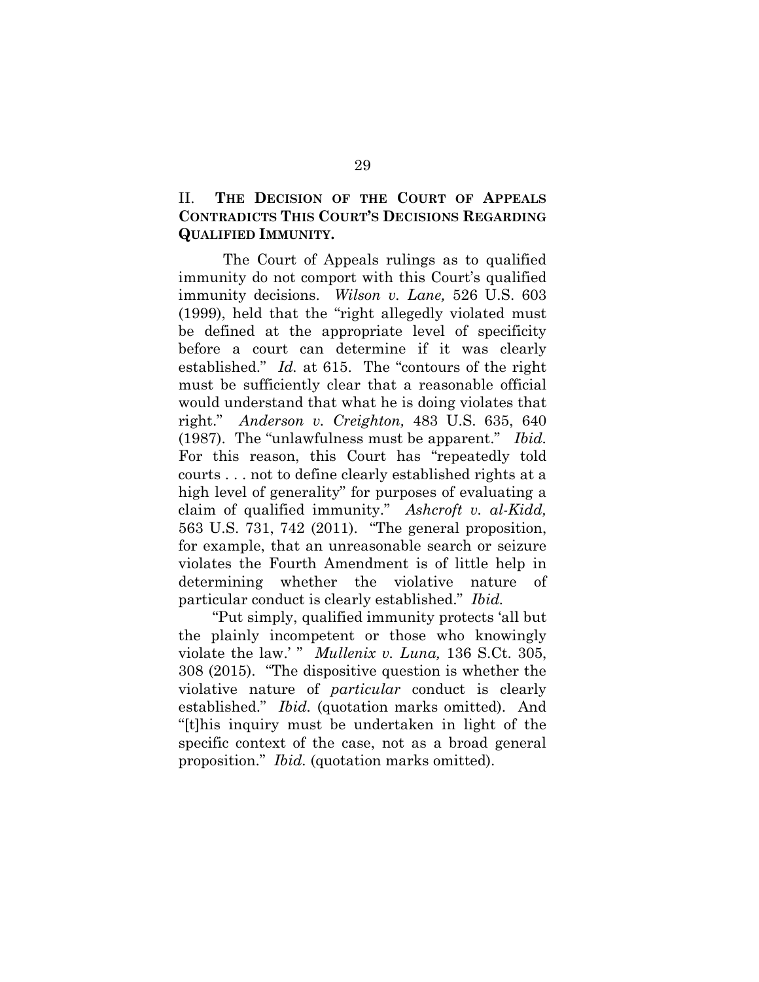# II. **THE DECISION OF THE COURT OF APPEALS CONTRADICTS THIS COURT'S DECISIONS REGARDING QUALIFIED IMMUNITY.**

The Court of Appeals rulings as to qualified immunity do not comport with this Court's qualified immunity decisions. *Wilson v. Lane,* 526 U.S. 603 (1999), held that the "right allegedly violated must be defined at the appropriate level of specificity before a court can determine if it was clearly established." *Id.* at 615. The "contours of the right must be sufficiently clear that a reasonable official would understand that what he is doing violates that right." *Anderson v. Creighton,* 483 U.S. 635, 640 (1987). The "unlawfulness must be apparent." *Ibid.*  For this reason, this Court has "repeatedly told courts . . . not to define clearly established rights at a high level of generality" for purposes of evaluating a claim of qualified immunity." *Ashcroft v. al-Kidd,*  563 U.S. 731, 742 (2011). "The general proposition, for example, that an unreasonable search or seizure violates the Fourth Amendment is of little help in determining whether the violative nature of particular conduct is clearly established." *Ibid.*

"Put simply, qualified immunity protects 'all but the plainly incompetent or those who knowingly violate the law.' " *Mullenix v. Luna,* 136 S.Ct. 305, 308 (2015). "The dispositive question is whether the violative nature of *particular* conduct is clearly established." *Ibid.* (quotation marks omitted). And "[t]his inquiry must be undertaken in light of the specific context of the case, not as a broad general proposition." *Ibid.* (quotation marks omitted).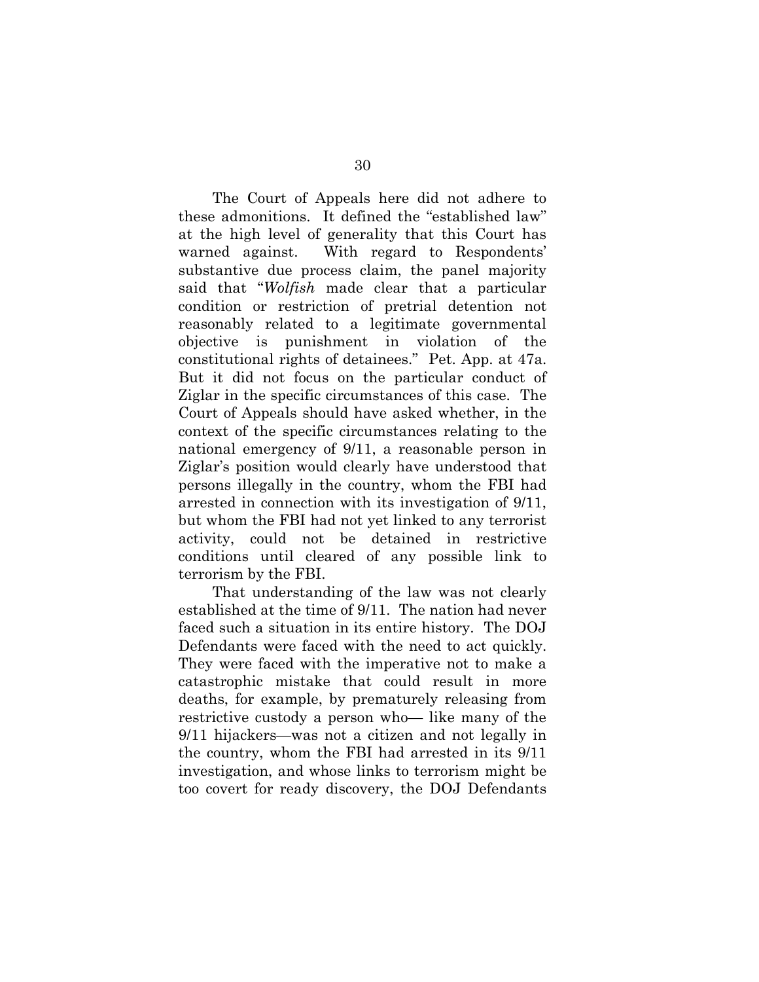The Court of Appeals here did not adhere to these admonitions. It defined the "established law" at the high level of generality that this Court has warned against. With regard to Respondents' substantive due process claim, the panel majority said that "*Wolfish* made clear that a particular condition or restriction of pretrial detention not reasonably related to a legitimate governmental objective is punishment in violation of the constitutional rights of detainees." Pet. App. at 47a. But it did not focus on the particular conduct of Ziglar in the specific circumstances of this case. The Court of Appeals should have asked whether, in the context of the specific circumstances relating to the national emergency of 9/11, a reasonable person in Ziglar's position would clearly have understood that persons illegally in the country, whom the FBI had arrested in connection with its investigation of 9/11, but whom the FBI had not yet linked to any terrorist activity, could not be detained in restrictive conditions until cleared of any possible link to terrorism by the FBI.

That understanding of the law was not clearly established at the time of 9/11. The nation had never faced such a situation in its entire history. The DOJ Defendants were faced with the need to act quickly. They were faced with the imperative not to make a catastrophic mistake that could result in more deaths, for example, by prematurely releasing from restrictive custody a person who— like many of the 9/11 hijackers—was not a citizen and not legally in the country, whom the FBI had arrested in its 9/11 investigation, and whose links to terrorism might be too covert for ready discovery, the DOJ Defendants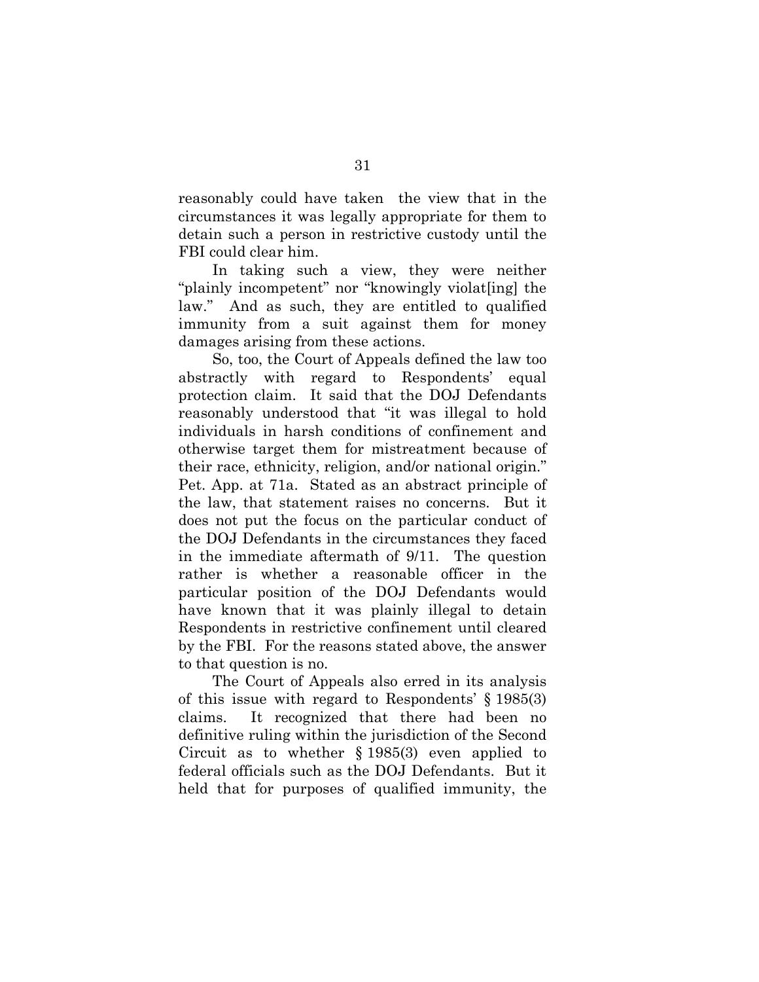reasonably could have taken the view that in the circumstances it was legally appropriate for them to detain such a person in restrictive custody until the FBI could clear him.

In taking such a view, they were neither "plainly incompetent" nor "knowingly violat[ing] the law." And as such, they are entitled to qualified immunity from a suit against them for money damages arising from these actions.

So, too, the Court of Appeals defined the law too abstractly with regard to Respondents' equal protection claim. It said that the DOJ Defendants reasonably understood that "it was illegal to hold individuals in harsh conditions of confinement and otherwise target them for mistreatment because of their race, ethnicity, religion, and/or national origin." Pet. App. at 71a. Stated as an abstract principle of the law, that statement raises no concerns. But it does not put the focus on the particular conduct of the DOJ Defendants in the circumstances they faced in the immediate aftermath of 9/11. The question rather is whether a reasonable officer in the particular position of the DOJ Defendants would have known that it was plainly illegal to detain Respondents in restrictive confinement until cleared by the FBI. For the reasons stated above, the answer to that question is no.

The Court of Appeals also erred in its analysis of this issue with regard to Respondents' § 1985(3) claims. It recognized that there had been no definitive ruling within the jurisdiction of the Second Circuit as to whether § 1985(3) even applied to federal officials such as the DOJ Defendants. But it held that for purposes of qualified immunity, the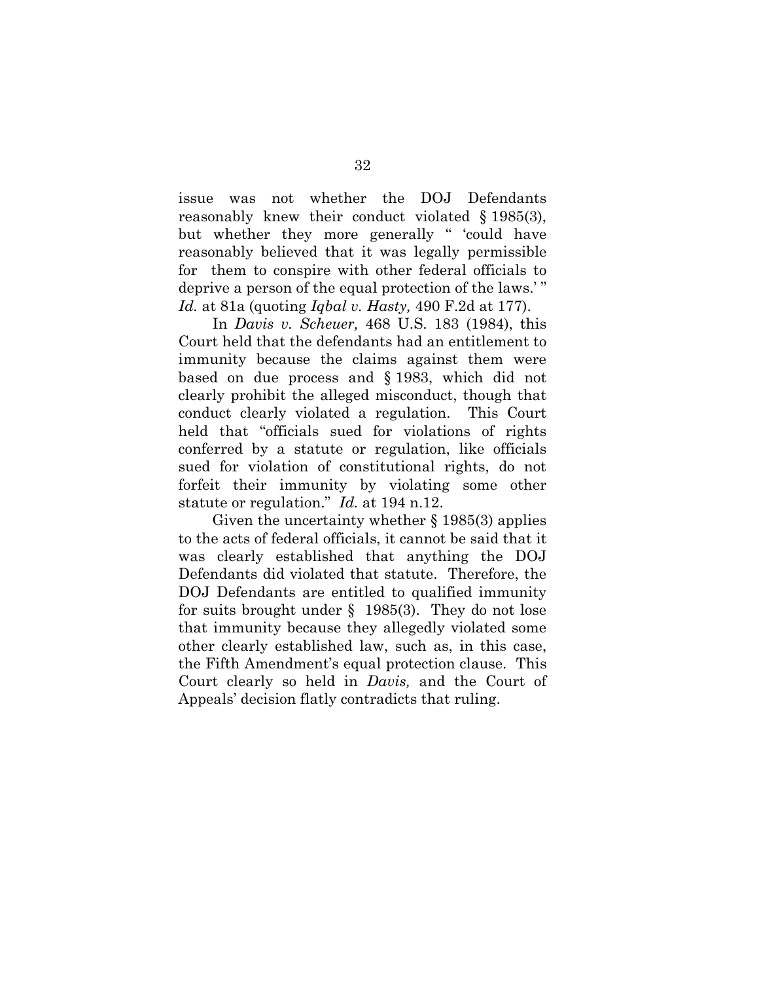issue was not whether the DOJ Defendants reasonably knew their conduct violated § 1985(3), but whether they more generally " 'could have reasonably believed that it was legally permissible for them to conspire with other federal officials to deprive a person of the equal protection of the laws.' " *Id.* at 81a (quoting *Iqbal v. Hasty,* 490 F.2d at 177).

In *Davis v. Scheuer,* 468 U.S. 183 (1984), this Court held that the defendants had an entitlement to immunity because the claims against them were based on due process and § 1983, which did not clearly prohibit the alleged misconduct, though that conduct clearly violated a regulation. This Court held that "officials sued for violations of rights conferred by a statute or regulation, like officials sued for violation of constitutional rights, do not forfeit their immunity by violating some other statute or regulation." *Id.* at 194 n.12.

Given the uncertainty whether § 1985(3) applies to the acts of federal officials, it cannot be said that it was clearly established that anything the DOJ Defendants did violated that statute. Therefore, the DOJ Defendants are entitled to qualified immunity for suits brought under § 1985(3). They do not lose that immunity because they allegedly violated some other clearly established law, such as, in this case, the Fifth Amendment's equal protection clause. This Court clearly so held in *Davis,* and the Court of Appeals' decision flatly contradicts that ruling.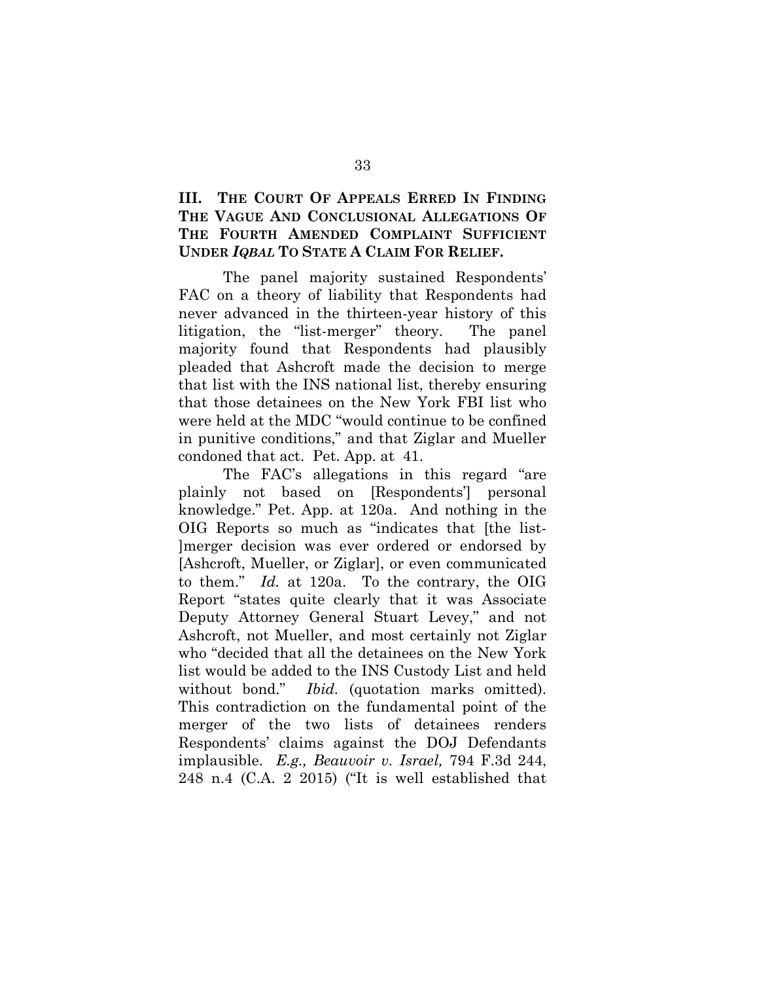# **III. THE COURT OF APPEALS ERRED IN FINDING THE VAGUE AND CONCLUSIONAL ALLEGATIONS OF THE FOURTH AMENDED COMPLAINT SUFFICIENT UNDER** *IQBAL* **TO STATE A CLAIM FOR RELIEF.**

The panel majority sustained Respondents' FAC on a theory of liability that Respondents had never advanced in the thirteen-year history of this litigation, the "list-merger" theory. The panel majority found that Respondents had plausibly pleaded that Ashcroft made the decision to merge that list with the INS national list, thereby ensuring that those detainees on the New York FBI list who were held at the MDC "would continue to be confined in punitive conditions," and that Ziglar and Mueller condoned that act. Pet. App. at 41.

The FAC's allegations in this regard "are plainly not based on [Respondents'] personal knowledge." Pet. App. at 120a. And nothing in the OIG Reports so much as "indicates that [the list- ]merger decision was ever ordered or endorsed by [Ashcroft, Mueller, or Ziglar], or even communicated to them." *Id.* at 120a. To the contrary, the OIG Report "states quite clearly that it was Associate Deputy Attorney General Stuart Levey," and not Ashcroft, not Mueller, and most certainly not Ziglar who "decided that all the detainees on the New York list would be added to the INS Custody List and held without bond." *Ibid.* (quotation marks omitted). This contradiction on the fundamental point of the merger of the two lists of detainees renders Respondents' claims against the DOJ Defendants implausible. *E.g., Beauvoir v. Israel,* 794 F.3d 244, 248 n.4 (C.A. 2 2015) ("It is well established that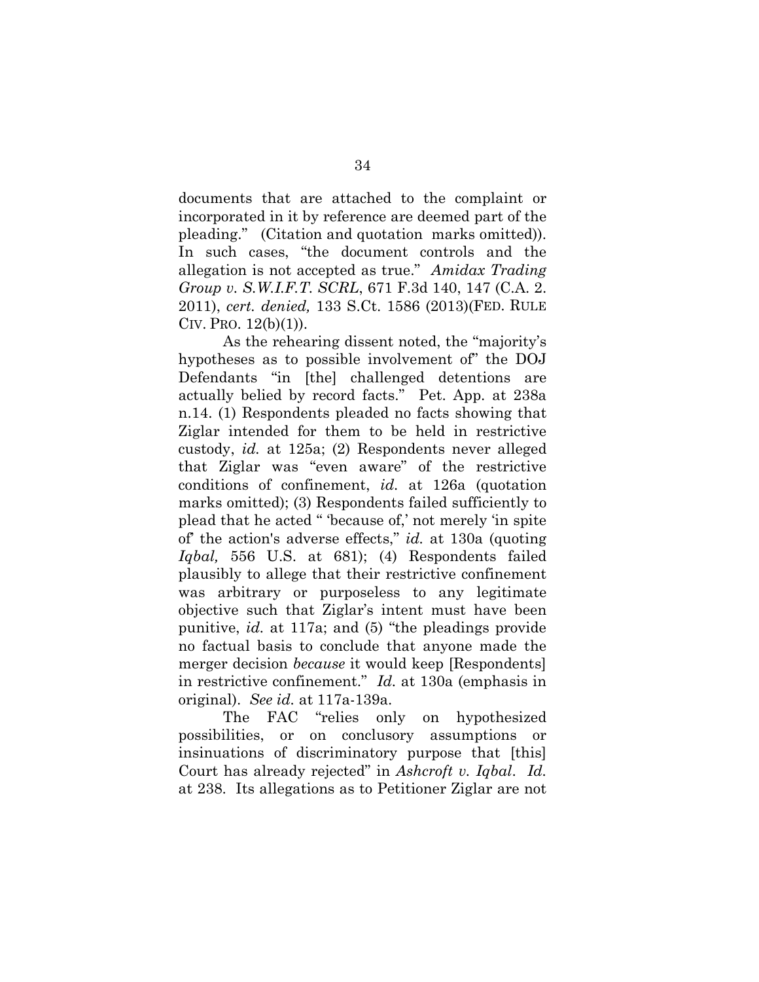documents that are attached to the complaint or incorporated in it by reference are deemed part of the pleading." (Citation and quotation marks omitted)). In such cases, "the document controls and the allegation is not accepted as true." *Amidax Trading Group v. S.W.I.F.T. SCRL*, 671 F.3d 140, 147 (C.A. 2. 2011), *cert. denied,* 133 S.Ct. 1586 (2013)(FED. RULE CIV. Pro.  $12(b)(1)$ .

As the rehearing dissent noted, the "majority's hypotheses as to possible involvement of" the DOJ Defendants "in [the] challenged detentions are actually belied by record facts." Pet. App. at 238a n.14. (1) Respondents pleaded no facts showing that Ziglar intended for them to be held in restrictive custody, *id.* at 125a; (2) Respondents never alleged that Ziglar was "even aware" of the restrictive conditions of confinement, *id.* at 126a (quotation marks omitted); (3) Respondents failed sufficiently to plead that he acted " 'because of,' not merely 'in spite of' the action's adverse effects," *id.* at 130a (quoting *Iqbal,* 556 U.S. at 681); (4) Respondents failed plausibly to allege that their restrictive confinement was arbitrary or purposeless to any legitimate objective such that Ziglar's intent must have been punitive, *id.* at 117a; and (5) "the pleadings provide no factual basis to conclude that anyone made the merger decision *because* it would keep [Respondents] in restrictive confinement." *Id.* at 130a (emphasis in original). *See id.* at 117a-139a.

The FAC "relies only on hypothesized possibilities, or on conclusory assumptions or insinuations of discriminatory purpose that [this] Court has already rejected" in *Ashcroft v. Iqbal*. *Id.*  at 238. Its allegations as to Petitioner Ziglar are not